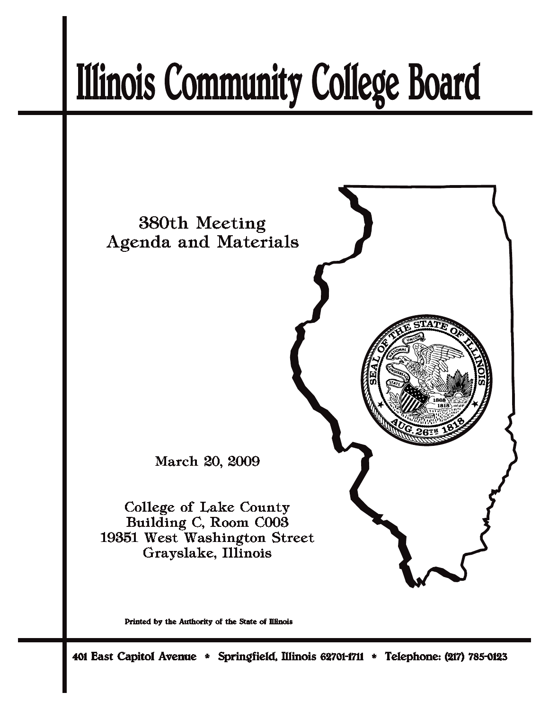# **Illinois Community College Board**



Printed by the Authority of the State of Illinois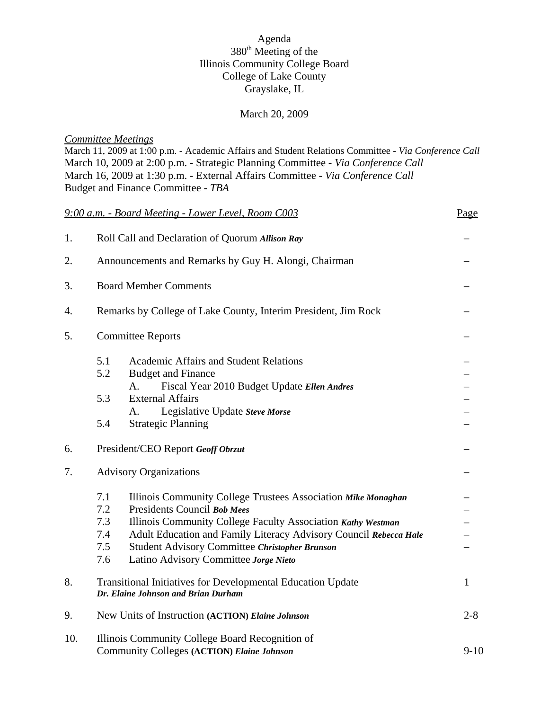# Agenda 380<sup>th</sup> Meeting of the Illinois Community College Board College of Lake County Grayslake, IL

#### March 20, 2009

#### *Committee Meetings*

March 11, 2009 at 1:00 p.m. - Academic Affairs and Student Relations Committee - *Via Conference Call* March 10, 2009 at 2:00 p.m. - Strategic Planning Committee - *Via Conference Call* March 16, 2009 at 1:30 p.m. - External Affairs Committee - *Via Conference Call* Budget and Finance Committee - *TBA*

|     |                                                                                                    | 9:00 a.m. - Board Meeting - Lower Level, Room C003                | Page     |  |  |
|-----|----------------------------------------------------------------------------------------------------|-------------------------------------------------------------------|----------|--|--|
| 1.  | Roll Call and Declaration of Quorum Allison Ray                                                    |                                                                   |          |  |  |
| 2.  | Announcements and Remarks by Guy H. Alongi, Chairman                                               |                                                                   |          |  |  |
| 3.  |                                                                                                    | <b>Board Member Comments</b>                                      |          |  |  |
| 4.  | Remarks by College of Lake County, Interim President, Jim Rock                                     |                                                                   |          |  |  |
| 5.  |                                                                                                    | <b>Committee Reports</b>                                          |          |  |  |
|     | 5.1                                                                                                | <b>Academic Affairs and Student Relations</b>                     |          |  |  |
|     | 5.2                                                                                                | <b>Budget and Finance</b>                                         |          |  |  |
|     |                                                                                                    | $A_{\cdot}$<br>Fiscal Year 2010 Budget Update Ellen Andres        |          |  |  |
|     | 5.3                                                                                                | <b>External Affairs</b>                                           |          |  |  |
|     | 5.4                                                                                                | Legislative Update Steve Morse<br>A.                              |          |  |  |
| 6.  |                                                                                                    | <b>Strategic Planning</b><br>President/CEO Report Geoff Obrzut    |          |  |  |
|     |                                                                                                    |                                                                   |          |  |  |
| 7.  | <b>Advisory Organizations</b>                                                                      |                                                                   |          |  |  |
|     | 7.1                                                                                                | Illinois Community College Trustees Association Mike Monaghan     |          |  |  |
|     | 7.2                                                                                                | Presidents Council Bob Mees                                       |          |  |  |
|     | 7.3                                                                                                | Illinois Community College Faculty Association Kathy Westman      |          |  |  |
|     | 7.4                                                                                                | Adult Education and Family Literacy Advisory Council Rebecca Hale |          |  |  |
|     | 7.5                                                                                                | Student Advisory Committee Christopher Brunson                    |          |  |  |
|     | 7.6                                                                                                | Latino Advisory Committee Jorge Nieto                             |          |  |  |
| 8.  | Transitional Initiatives for Developmental Education Update<br>Dr. Elaine Johnson and Brian Durham |                                                                   |          |  |  |
| 9.  | New Units of Instruction (ACTION) Elaine Johnson<br>$2 - 8$                                        |                                                                   |          |  |  |
| 10. | Illinois Community College Board Recognition of                                                    |                                                                   |          |  |  |
|     |                                                                                                    | <b>Community Colleges (ACTION) Elaine Johnson</b>                 | $9 - 10$ |  |  |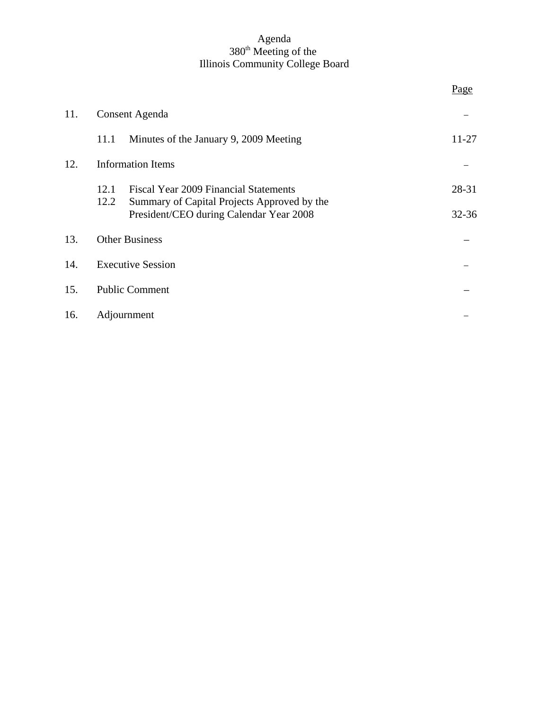#### Agenda 380<sup>th</sup> Meeting of the Illinois Community College Board

|     |                          |                                                                                             | Page      |
|-----|--------------------------|---------------------------------------------------------------------------------------------|-----------|
| 11. | Consent Agenda           |                                                                                             |           |
|     | 11.1                     | Minutes of the January 9, 2009 Meeting                                                      | 11-27     |
| 12. | <b>Information Items</b> |                                                                                             |           |
|     | 12.1<br>12.2             | <b>Fiscal Year 2009 Financial Statements</b><br>Summary of Capital Projects Approved by the | 28-31     |
|     |                          | President/CEO during Calendar Year 2008                                                     | $32 - 36$ |
| 13. | <b>Other Business</b>    |                                                                                             |           |
| 14. | <b>Executive Session</b> |                                                                                             |           |
| 15. | <b>Public Comment</b>    |                                                                                             |           |
| 16. | Adjournment              |                                                                                             |           |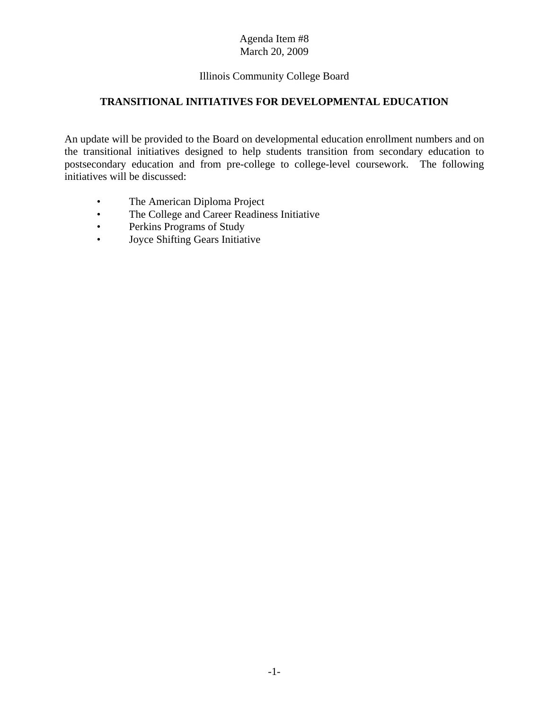# Illinois Community College Board

# **TRANSITIONAL INITIATIVES FOR DEVELOPMENTAL EDUCATION**

An update will be provided to the Board on developmental education enrollment numbers and on the transitional initiatives designed to help students transition from secondary education to postsecondary education and from pre-college to college-level coursework. The following initiatives will be discussed:

- The American Diploma Project
- The College and Career Readiness Initiative
- Perkins Programs of Study
- Joyce Shifting Gears Initiative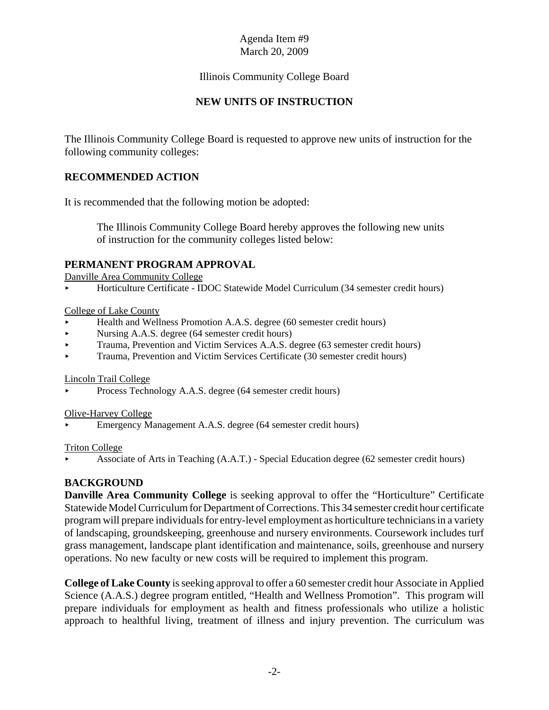# Illinois Community College Board

# **NEW UNITS OF INSTRUCTION**

The Illinois Community College Board is requested to approve new units of instruction for the following community colleges:

# **RECOMMENDED ACTION**

It is recommended that the following motion be adopted:

The Illinois Community College Board hereby approves the following new units of instruction for the community colleges listed below:

# **PERMANENT PROGRAM APPROVAL**

Danville Area Community College

< Horticulture Certificate - IDOC Statewide Model Curriculum (34 semester credit hours)

#### College of Lake County

- < Health and Wellness Promotion A.A.S. degree (60 semester credit hours)
- Nursing A.A.S. degree (64 semester credit hours)
- ▶ Trauma, Prevention and Victim Services A.A.S. degree (63 semester credit hours)
- < Trauma, Prevention and Victim Services Certificate (30 semester credit hours)

#### Lincoln Trail College

Process Technology A.A.S. degree (64 semester credit hours)

#### Olive-Harvey College

< Emergency Management A.A.S. degree (64 semester credit hours)

#### Triton College

< Associate of Arts in Teaching (A.A.T.) - Special Education degree (62 semester credit hours)

# **BACKGROUND**

**Danville Area Community College** is seeking approval to offer the "Horticulture" Certificate Statewide Model Curriculum for Department of Corrections. This 34 semester credit hour certificate program will prepare individuals for entry-level employment as horticulture technicians in a variety of landscaping, groundskeeping, greenhouse and nursery environments. Coursework includes turf grass management, landscape plant identification and maintenance, soils, greenhouse and nursery operations. No new faculty or new costs will be required to implement this program.

**College of Lake County** is seeking approval to offer a 60 semester credit hour Associate in Applied Science (A.A.S.) degree program entitled, "Health and Wellness Promotion". This program will prepare individuals for employment as health and fitness professionals who utilize a holistic approach to healthful living, treatment of illness and injury prevention. The curriculum was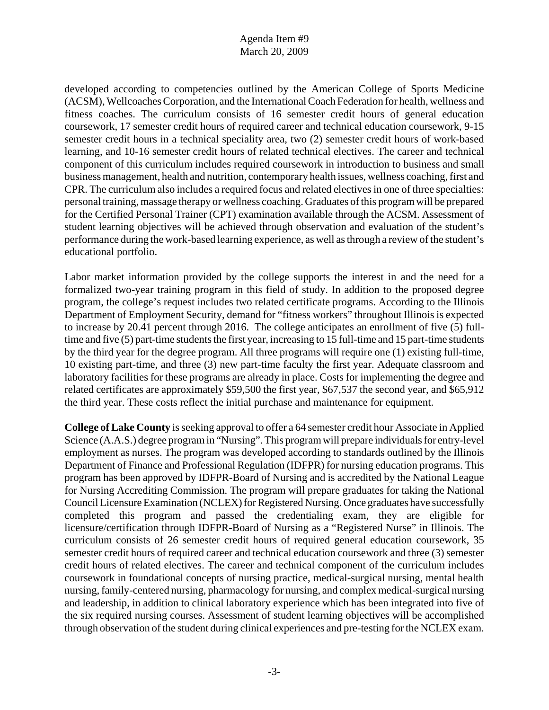developed according to competencies outlined by the American College of Sports Medicine (ACSM), Wellcoaches Corporation, and the International Coach Federation for health, wellness and fitness coaches. The curriculum consists of 16 semester credit hours of general education coursework, 17 semester credit hours of required career and technical education coursework, 9-15 semester credit hours in a technical speciality area, two (2) semester credit hours of work-based learning, and 10-16 semester credit hours of related technical electives. The career and technical component of this curriculum includes required coursework in introduction to business and small business management, health and nutrition, contemporary health issues, wellness coaching, first and CPR. The curriculum also includes a required focus and related electives in one of three specialties: personal training, massage therapy or wellness coaching. Graduates of this program will be prepared for the Certified Personal Trainer (CPT) examination available through the ACSM. Assessment of student learning objectives will be achieved through observation and evaluation of the student's performance during the work-based learning experience, as well as through a review of the student's educational portfolio.

Labor market information provided by the college supports the interest in and the need for a formalized two-year training program in this field of study. In addition to the proposed degree program, the college's request includes two related certificate programs. According to the Illinois Department of Employment Security, demand for "fitness workers" throughout Illinois is expected to increase by 20.41 percent through 2016. The college anticipates an enrollment of five (5) fulltime and five (5) part-time students the first year, increasing to 15 full-time and 15 part-time students by the third year for the degree program. All three programs will require one (1) existing full-time, 10 existing part-time, and three (3) new part-time faculty the first year. Adequate classroom and laboratory facilities for these programs are already in place. Costs for implementing the degree and related certificates are approximately \$59,500 the first year, \$67,537 the second year, and \$65,912 the third year. These costs reflect the initial purchase and maintenance for equipment.

**College of Lake County** is seeking approval to offer a 64 semester credit hour Associate in Applied Science (A.A.S.) degree program in "Nursing". This program will prepare individuals for entry-level employment as nurses. The program was developed according to standards outlined by the Illinois Department of Finance and Professional Regulation (IDFPR) for nursing education programs. This program has been approved by IDFPR-Board of Nursing and is accredited by the National League for Nursing Accrediting Commission. The program will prepare graduates for taking the National Council Licensure Examination (NCLEX) for Registered Nursing. Once graduates have successfully completed this program and passed the credentialing exam, they are eligible for licensure/certification through IDFPR-Board of Nursing as a "Registered Nurse" in Illinois. The curriculum consists of 26 semester credit hours of required general education coursework, 35 semester credit hours of required career and technical education coursework and three (3) semester credit hours of related electives. The career and technical component of the curriculum includes coursework in foundational concepts of nursing practice, medical-surgical nursing, mental health nursing, family-centered nursing, pharmacology for nursing, and complex medical-surgical nursing and leadership, in addition to clinical laboratory experience which has been integrated into five of the six required nursing courses. Assessment of student learning objectives will be accomplished through observation of the student during clinical experiences and pre-testing for the NCLEX exam.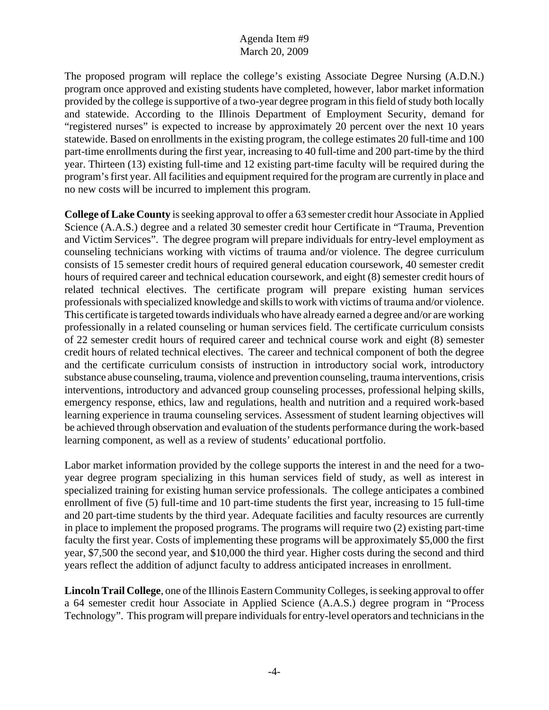The proposed program will replace the college's existing Associate Degree Nursing (A.D.N.) program once approved and existing students have completed, however, labor market information provided by the college is supportive of a two-year degree program in this field of study both locally and statewide. According to the Illinois Department of Employment Security, demand for "registered nurses" is expected to increase by approximately 20 percent over the next 10 years statewide. Based on enrollments in the existing program, the college estimates 20 full-time and 100 part-time enrollments during the first year, increasing to 40 full-time and 200 part-time by the third year. Thirteen (13) existing full-time and 12 existing part-time faculty will be required during the program's first year. All facilities and equipment required for the program are currently in place and no new costs will be incurred to implement this program.

**College of Lake County** is seeking approval to offer a 63 semester credit hour Associate in Applied Science (A.A.S.) degree and a related 30 semester credit hour Certificate in "Trauma, Prevention and Victim Services". The degree program will prepare individuals for entry-level employment as counseling technicians working with victims of trauma and/or violence. The degree curriculum consists of 15 semester credit hours of required general education coursework, 40 semester credit hours of required career and technical education coursework, and eight (8) semester credit hours of related technical electives. The certificate program will prepare existing human services professionals with specialized knowledge and skills to work with victims of trauma and/or violence. This certificate is targeted towards individuals who have already earned a degree and/or are working professionally in a related counseling or human services field. The certificate curriculum consists of 22 semester credit hours of required career and technical course work and eight (8) semester credit hours of related technical electives. The career and technical component of both the degree and the certificate curriculum consists of instruction in introductory social work, introductory substance abuse counseling, trauma, violence and prevention counseling, trauma interventions, crisis interventions, introductory and advanced group counseling processes, professional helping skills, emergency response, ethics, law and regulations, health and nutrition and a required work-based learning experience in trauma counseling services. Assessment of student learning objectives will be achieved through observation and evaluation of the students performance during the work-based learning component, as well as a review of students' educational portfolio.

Labor market information provided by the college supports the interest in and the need for a twoyear degree program specializing in this human services field of study, as well as interest in specialized training for existing human service professionals. The college anticipates a combined enrollment of five (5) full-time and 10 part-time students the first year, increasing to 15 full-time and 20 part-time students by the third year. Adequate facilities and faculty resources are currently in place to implement the proposed programs. The programs will require two (2) existing part-time faculty the first year. Costs of implementing these programs will be approximately \$5,000 the first year, \$7,500 the second year, and \$10,000 the third year. Higher costs during the second and third years reflect the addition of adjunct faculty to address anticipated increases in enrollment.

**Lincoln Trail College**, one of the Illinois Eastern Community Colleges, is seeking approval to offer a 64 semester credit hour Associate in Applied Science (A.A.S.) degree program in "Process Technology". This program will prepare individuals for entry-level operators and technicians in the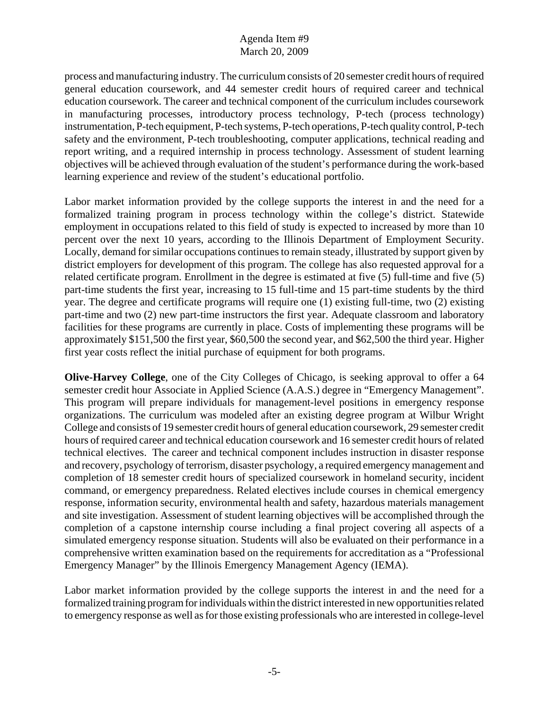process and manufacturing industry. The curriculum consists of 20 semester credit hours of required general education coursework, and 44 semester credit hours of required career and technical education coursework. The career and technical component of the curriculum includes coursework in manufacturing processes, introductory process technology, P-tech (process technology) instrumentation, P-tech equipment, P-tech systems, P-tech operations, P-tech quality control, P-tech safety and the environment, P-tech troubleshooting, computer applications, technical reading and report writing, and a required internship in process technology. Assessment of student learning objectives will be achieved through evaluation of the student's performance during the work-based learning experience and review of the student's educational portfolio.

Labor market information provided by the college supports the interest in and the need for a formalized training program in process technology within the college's district. Statewide employment in occupations related to this field of study is expected to increased by more than 10 percent over the next 10 years, according to the Illinois Department of Employment Security. Locally, demand for similar occupations continues to remain steady, illustrated by support given by district employers for development of this program. The college has also requested approval for a related certificate program. Enrollment in the degree is estimated at five (5) full-time and five (5) part-time students the first year, increasing to 15 full-time and 15 part-time students by the third year. The degree and certificate programs will require one (1) existing full-time, two (2) existing part-time and two (2) new part-time instructors the first year. Adequate classroom and laboratory facilities for these programs are currently in place. Costs of implementing these programs will be approximately \$151,500 the first year, \$60,500 the second year, and \$62,500 the third year. Higher first year costs reflect the initial purchase of equipment for both programs.

**Olive-Harvey College**, one of the City Colleges of Chicago, is seeking approval to offer a 64 semester credit hour Associate in Applied Science (A.A.S.) degree in "Emergency Management". This program will prepare individuals for management-level positions in emergency response organizations. The curriculum was modeled after an existing degree program at Wilbur Wright College and consists of 19 semester credit hours of general education coursework, 29 semester credit hours of required career and technical education coursework and 16 semester credit hours of related technical electives. The career and technical component includes instruction in disaster response and recovery, psychology of terrorism, disaster psychology, a required emergency management and completion of 18 semester credit hours of specialized coursework in homeland security, incident command, or emergency preparedness. Related electives include courses in chemical emergency response, information security, environmental health and safety, hazardous materials management and site investigation. Assessment of student learning objectives will be accomplished through the completion of a capstone internship course including a final project covering all aspects of a simulated emergency response situation. Students will also be evaluated on their performance in a comprehensive written examination based on the requirements for accreditation as a "Professional Emergency Manager" by the Illinois Emergency Management Agency (IEMA).

Labor market information provided by the college supports the interest in and the need for a formalized training program for individuals within the district interested in new opportunities related to emergency response as well as for those existing professionals who are interested in college-level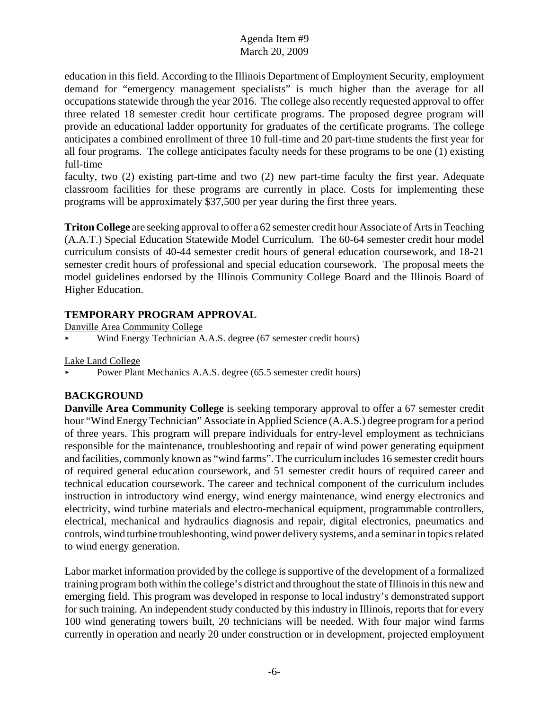education in this field. According to the Illinois Department of Employment Security, employment demand for "emergency management specialists" is much higher than the average for all occupations statewide through the year 2016. The college also recently requested approval to offer three related 18 semester credit hour certificate programs. The proposed degree program will provide an educational ladder opportunity for graduates of the certificate programs. The college anticipates a combined enrollment of three 10 full-time and 20 part-time students the first year for all four programs. The college anticipates faculty needs for these programs to be one (1) existing full-time

faculty, two (2) existing part-time and two (2) new part-time faculty the first year. Adequate classroom facilities for these programs are currently in place. Costs for implementing these programs will be approximately \$37,500 per year during the first three years.

**Triton College** are seeking approval to offer a 62 semester credit hour Associate of Arts in Teaching (A.A.T.) Special Education Statewide Model Curriculum. The 60-64 semester credit hour model curriculum consists of 40-44 semester credit hours of general education coursework, and 18-21 semester credit hours of professional and special education coursework. The proposal meets the model guidelines endorsed by the Illinois Community College Board and the Illinois Board of Higher Education.

# **TEMPORARY PROGRAM APPROVAL**

Danville Area Community College

< Wind Energy Technician A.A.S. degree (67 semester credit hours)

Lake Land College

Power Plant Mechanics A.A.S. degree (65.5 semester credit hours)

# **BACKGROUND**

**Danville Area Community College** is seeking temporary approval to offer a 67 semester credit hour "Wind Energy Technician" Associate in Applied Science (A.A.S.) degree program for a period of three years. This program will prepare individuals for entry-level employment as technicians responsible for the maintenance, troubleshooting and repair of wind power generating equipment and facilities, commonly known as "wind farms". The curriculum includes 16 semester credit hours of required general education coursework, and 51 semester credit hours of required career and technical education coursework. The career and technical component of the curriculum includes instruction in introductory wind energy, wind energy maintenance, wind energy electronics and electricity, wind turbine materials and electro-mechanical equipment, programmable controllers, electrical, mechanical and hydraulics diagnosis and repair, digital electronics, pneumatics and controls, wind turbine troubleshooting, wind power delivery systems, and a seminar in topics related to wind energy generation.

Labor market information provided by the college is supportive of the development of a formalized training program both within the college's district and throughout the state of Illinois in this new and emerging field. This program was developed in response to local industry's demonstrated support for such training. An independent study conducted by this industry in Illinois, reports that for every 100 wind generating towers built, 20 technicians will be needed. With four major wind farms currently in operation and nearly 20 under construction or in development, projected employment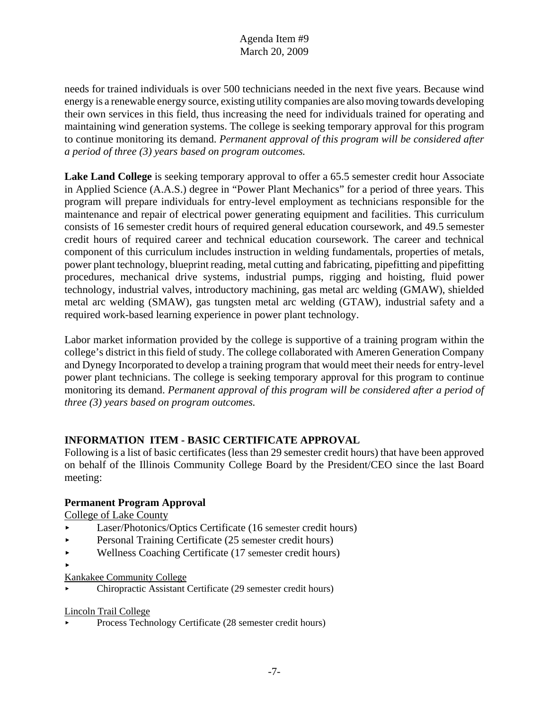needs for trained individuals is over 500 technicians needed in the next five years. Because wind energy is a renewable energy source, existing utility companies are also moving towards developing their own services in this field, thus increasing the need for individuals trained for operating and maintaining wind generation systems. The college is seeking temporary approval for this program to continue monitoring its demand. *Permanent approval of this program will be considered after a period of three (3) years based on program outcomes.* 

**Lake Land College** is seeking temporary approval to offer a 65.5 semester credit hour Associate in Applied Science (A.A.S.) degree in "Power Plant Mechanics" for a period of three years. This program will prepare individuals for entry-level employment as technicians responsible for the maintenance and repair of electrical power generating equipment and facilities. This curriculum consists of 16 semester credit hours of required general education coursework, and 49.5 semester credit hours of required career and technical education coursework. The career and technical component of this curriculum includes instruction in welding fundamentals, properties of metals, power plant technology, blueprint reading, metal cutting and fabricating, pipefitting and pipefitting procedures, mechanical drive systems, industrial pumps, rigging and hoisting, fluid power technology, industrial valves, introductory machining, gas metal arc welding (GMAW), shielded metal arc welding (SMAW), gas tungsten metal arc welding (GTAW), industrial safety and a required work-based learning experience in power plant technology.

Labor market information provided by the college is supportive of a training program within the college's district in this field of study. The college collaborated with Ameren Generation Company and Dynegy Incorporated to develop a training program that would meet their needs for entry-level power plant technicians. The college is seeking temporary approval for this program to continue monitoring its demand. *Permanent approval of this program will be considered after a period of three (3) years based on program outcomes.* 

# **INFORMATION ITEM - BASIC CERTIFICATE APPROVAL**

Following is a list of basic certificates (less than 29 semester credit hours) that have been approved on behalf of the Illinois Community College Board by the President/CEO since the last Board meeting:

# **Permanent Program Approval**

College of Lake County

- < Laser/Photonics/Optics Certificate (16 semester credit hours)
- Personal Training Certificate (25 semester credit hours)
- < Wellness Coaching Certificate (17 semester credit hours)
- $\blacktriangleright$
- Kankakee Community College
- < Chiropractic Assistant Certificate (29 semester credit hours)

# Lincoln Trail College

< Process Technology Certificate (28 semester credit hours)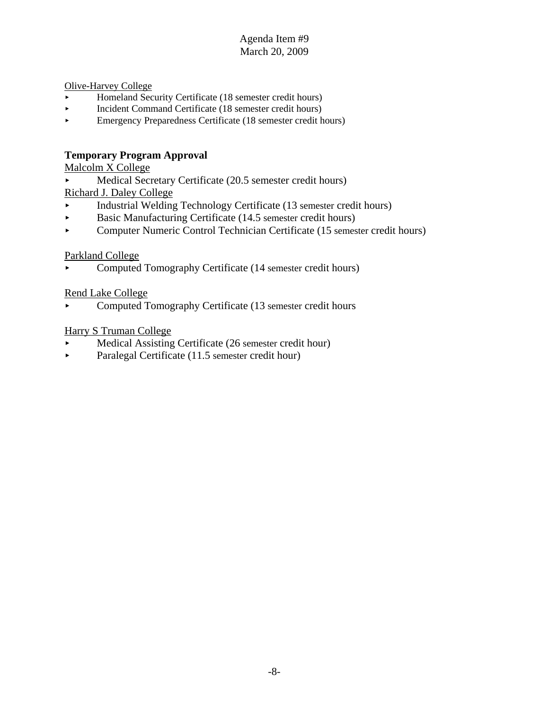Olive-Harvey College

- < Homeland Security Certificate (18 semester credit hours)
- < Incident Command Certificate (18 semester credit hours)
- < Emergency Preparedness Certificate (18 semester credit hours)

# **Temporary Program Approval**

Malcolm X College

Medical Secretary Certificate (20.5 semester credit hours)

Richard J. Daley College

- < Industrial Welding Technology Certificate (13 semester credit hours)
- < Basic Manufacturing Certificate (14.5 semester credit hours)
- < Computer Numeric Control Technician Certificate (15 semester credit hours)

# Parkland College

• Computed Tomography Certificate (14 semester credit hours)

# Rend Lake College

< Computed Tomography Certificate (13 semester credit hours

# Harry S Truman College

- Medical Assisting Certificate (26 semester credit hour)
- $\blacktriangleright$  Paralegal Certificate (11.5 semester credit hour)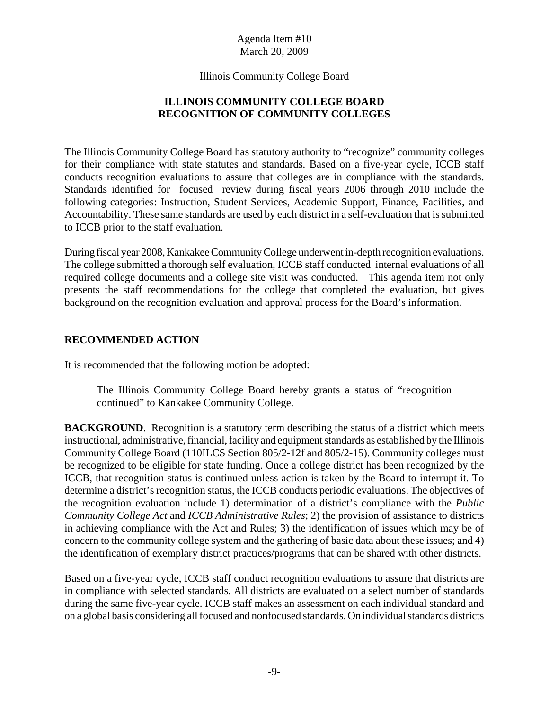Illinois Community College Board

# **ILLINOIS COMMUNITY COLLEGE BOARD RECOGNITION OF COMMUNITY COLLEGES**

The Illinois Community College Board has statutory authority to "recognize" community colleges for their compliance with state statutes and standards. Based on a five-year cycle, ICCB staff conducts recognition evaluations to assure that colleges are in compliance with the standards. Standards identified for focused review during fiscal years 2006 through 2010 include the following categories: Instruction, Student Services, Academic Support, Finance, Facilities, and Accountability. These same standards are used by each district in a self-evaluation that is submitted to ICCB prior to the staff evaluation.

During fiscal year 2008, Kankakee Community College underwent in-depth recognition evaluations. The college submitted a thorough self evaluation, ICCB staff conducted internal evaluations of all required college documents and a college site visit was conducted. This agenda item not only presents the staff recommendations for the college that completed the evaluation, but gives background on the recognition evaluation and approval process for the Board's information.

# **RECOMMENDED ACTION**

It is recommended that the following motion be adopted:

The Illinois Community College Board hereby grants a status of "recognition continued" to Kankakee Community College.

**BACKGROUND.** Recognition is a statutory term describing the status of a district which meets instructional, administrative, financial, facility and equipment standards as established by the Illinois Community College Board (110ILCS Section 805/2-12f and 805/2-15). Community colleges must be recognized to be eligible for state funding. Once a college district has been recognized by the ICCB, that recognition status is continued unless action is taken by the Board to interrupt it. To determine a district's recognition status, the ICCB conducts periodic evaluations. The objectives of the recognition evaluation include 1) determination of a district's compliance with the *Public Community College Act* and *ICCB Administrative Rules*; 2) the provision of assistance to districts in achieving compliance with the Act and Rules; 3) the identification of issues which may be of concern to the community college system and the gathering of basic data about these issues; and 4) the identification of exemplary district practices/programs that can be shared with other districts.

Based on a five-year cycle, ICCB staff conduct recognition evaluations to assure that districts are in compliance with selected standards. All districts are evaluated on a select number of standards during the same five-year cycle. ICCB staff makes an assessment on each individual standard and on a global basis considering all focused and nonfocused standards. On individual standards districts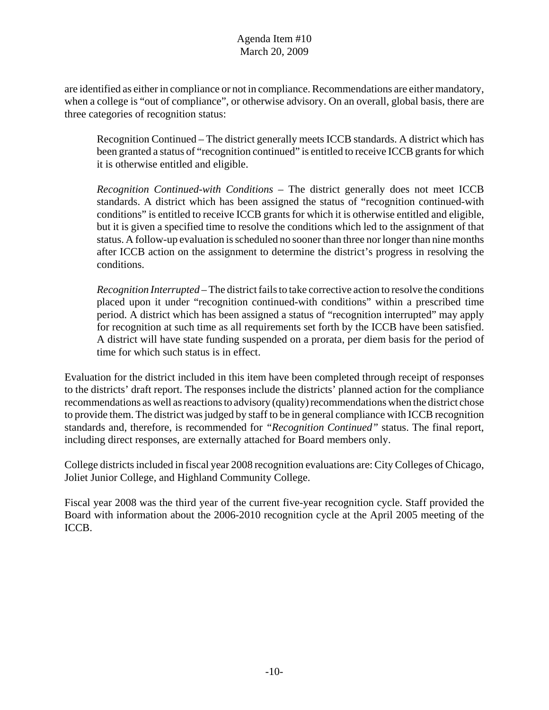are identified as either in compliance or not in compliance. Recommendations are either mandatory, when a college is "out of compliance", or otherwise advisory. On an overall, global basis, there are three categories of recognition status:

Recognition Continued – The district generally meets ICCB standards. A district which has been granted a status of "recognition continued" is entitled to receive ICCB grants for which it is otherwise entitled and eligible.

*Recognition Continued-with Conditions* – The district generally does not meet ICCB standards. A district which has been assigned the status of "recognition continued-with conditions" is entitled to receive ICCB grants for which it is otherwise entitled and eligible, but it is given a specified time to resolve the conditions which led to the assignment of that status. A follow-up evaluation is scheduled no sooner than three nor longer than nine months after ICCB action on the assignment to determine the district's progress in resolving the conditions.

*Recognition Interrupted* – The district fails to take corrective action to resolve the conditions placed upon it under "recognition continued-with conditions" within a prescribed time period. A district which has been assigned a status of "recognition interrupted" may apply for recognition at such time as all requirements set forth by the ICCB have been satisfied. A district will have state funding suspended on a prorata, per diem basis for the period of time for which such status is in effect.

Evaluation for the district included in this item have been completed through receipt of responses to the districts' draft report. The responses include the districts' planned action for the compliance recommendations as well as reactions to advisory (quality) recommendations when the district chose to provide them. The district was judged by staff to be in general compliance with ICCB recognition standards and, therefore, is recommended for *"Recognition Continued"* status. The final report, including direct responses, are externally attached for Board members only.

College districts included in fiscal year 2008 recognition evaluations are: City Colleges of Chicago, Joliet Junior College, and Highland Community College.

Fiscal year 2008 was the third year of the current five-year recognition cycle. Staff provided the Board with information about the 2006-2010 recognition cycle at the April 2005 meeting of the ICCB.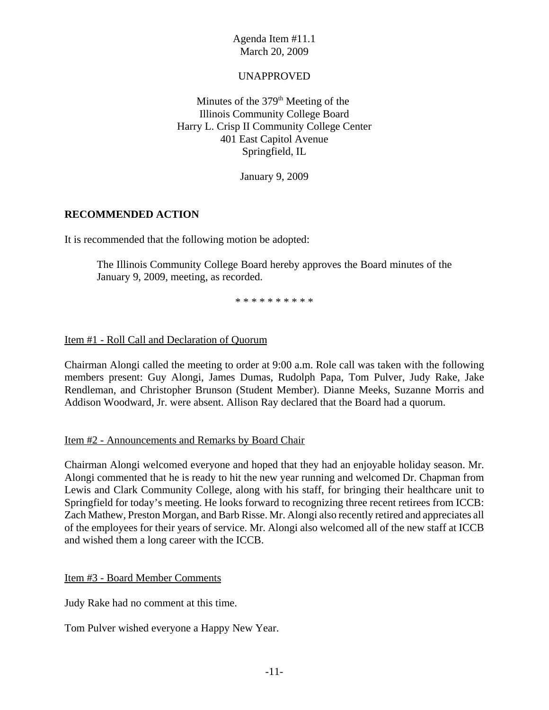# UNAPPROVED

Minutes of the  $379<sup>th</sup>$  Meeting of the Illinois Community College Board Harry L. Crisp II Community College Center 401 East Capitol Avenue Springfield, IL

January 9, 2009

# **RECOMMENDED ACTION**

It is recommended that the following motion be adopted:

The Illinois Community College Board hereby approves the Board minutes of the January 9, 2009, meeting, as recorded.

\* \* \* \* \* \* \* \* \* \*

# Item #1 - Roll Call and Declaration of Quorum

Chairman Alongi called the meeting to order at 9:00 a.m. Role call was taken with the following members present: Guy Alongi, James Dumas, Rudolph Papa, Tom Pulver, Judy Rake, Jake Rendleman, and Christopher Brunson (Student Member). Dianne Meeks, Suzanne Morris and Addison Woodward, Jr. were absent. Allison Ray declared that the Board had a quorum.

# Item #2 - Announcements and Remarks by Board Chair

Chairman Alongi welcomed everyone and hoped that they had an enjoyable holiday season. Mr. Alongi commented that he is ready to hit the new year running and welcomed Dr. Chapman from Lewis and Clark Community College, along with his staff, for bringing their healthcare unit to Springfield for today's meeting. He looks forward to recognizing three recent retirees from ICCB: Zach Mathew, Preston Morgan, and Barb Risse. Mr. Alongi also recently retired and appreciates all of the employees for their years of service. Mr. Alongi also welcomed all of the new staff at ICCB and wished them a long career with the ICCB.

Item #3 - Board Member Comments

Judy Rake had no comment at this time.

Tom Pulver wished everyone a Happy New Year.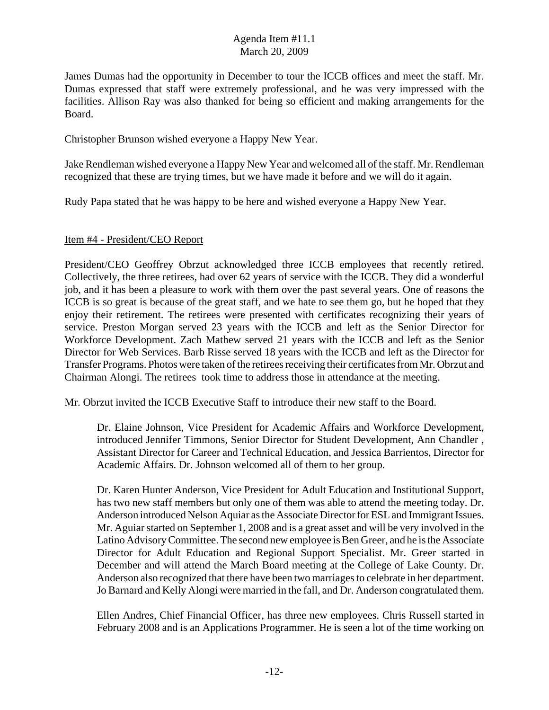James Dumas had the opportunity in December to tour the ICCB offices and meet the staff. Mr. Dumas expressed that staff were extremely professional, and he was very impressed with the facilities. Allison Ray was also thanked for being so efficient and making arrangements for the Board.

Christopher Brunson wished everyone a Happy New Year.

Jake Rendleman wished everyone a Happy New Year and welcomed all of the staff. Mr. Rendleman recognized that these are trying times, but we have made it before and we will do it again.

Rudy Papa stated that he was happy to be here and wished everyone a Happy New Year.

#### Item #4 - President/CEO Report

President/CEO Geoffrey Obrzut acknowledged three ICCB employees that recently retired. Collectively, the three retirees, had over 62 years of service with the ICCB. They did a wonderful job, and it has been a pleasure to work with them over the past several years. One of reasons the ICCB is so great is because of the great staff, and we hate to see them go, but he hoped that they enjoy their retirement. The retirees were presented with certificates recognizing their years of service. Preston Morgan served 23 years with the ICCB and left as the Senior Director for Workforce Development. Zach Mathew served 21 years with the ICCB and left as the Senior Director for Web Services. Barb Risse served 18 years with the ICCB and left as the Director for Transfer Programs. Photos were taken of the retirees receiving their certificates from Mr. Obrzut and Chairman Alongi. The retirees took time to address those in attendance at the meeting.

Mr. Obrzut invited the ICCB Executive Staff to introduce their new staff to the Board.

Dr. Elaine Johnson, Vice President for Academic Affairs and Workforce Development, introduced Jennifer Timmons, Senior Director for Student Development, Ann Chandler , Assistant Director for Career and Technical Education, and Jessica Barrientos, Director for Academic Affairs. Dr. Johnson welcomed all of them to her group.

Dr. Karen Hunter Anderson, Vice President for Adult Education and Institutional Support, has two new staff members but only one of them was able to attend the meeting today. Dr. Anderson introduced Nelson Aquiar as the Associate Director for ESL and Immigrant Issues. Mr. Aguiar started on September 1, 2008 and is a great asset and will be very involved in the Latino Advisory Committee. The second new employee is Ben Greer, and he is the Associate Director for Adult Education and Regional Support Specialist. Mr. Greer started in December and will attend the March Board meeting at the College of Lake County. Dr. Anderson also recognized that there have been two marriages to celebrate in her department. Jo Barnard and Kelly Alongi were married in the fall, and Dr. Anderson congratulated them.

Ellen Andres, Chief Financial Officer, has three new employees. Chris Russell started in February 2008 and is an Applications Programmer. He is seen a lot of the time working on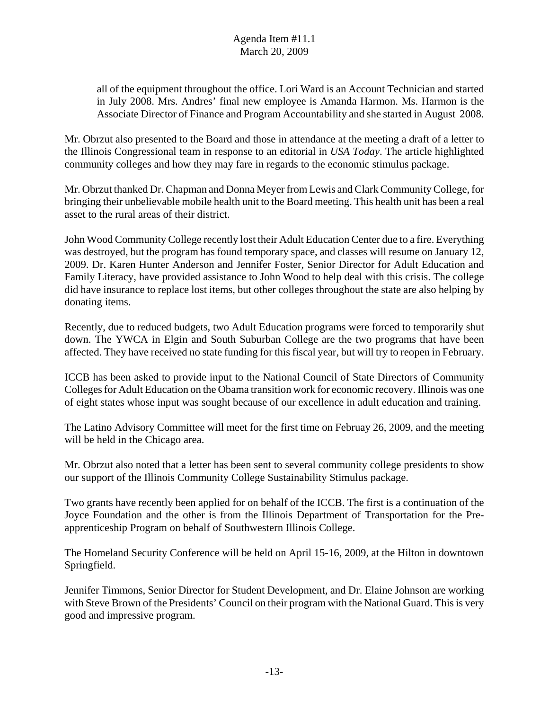all of the equipment throughout the office. Lori Ward is an Account Technician and started in July 2008. Mrs. Andres' final new employee is Amanda Harmon. Ms. Harmon is the Associate Director of Finance and Program Accountability and she started in August 2008.

Mr. Obrzut also presented to the Board and those in attendance at the meeting a draft of a letter to the Illinois Congressional team in response to an editorial in *USA Today*. The article highlighted community colleges and how they may fare in regards to the economic stimulus package.

Mr. Obrzut thanked Dr. Chapman and Donna Meyer from Lewis and Clark Community College, for bringing their unbelievable mobile health unit to the Board meeting. This health unit has been a real asset to the rural areas of their district.

John Wood Community College recently lost their Adult Education Center due to a fire. Everything was destroyed, but the program has found temporary space, and classes will resume on January 12, 2009. Dr. Karen Hunter Anderson and Jennifer Foster, Senior Director for Adult Education and Family Literacy, have provided assistance to John Wood to help deal with this crisis. The college did have insurance to replace lost items, but other colleges throughout the state are also helping by donating items.

Recently, due to reduced budgets, two Adult Education programs were forced to temporarily shut down. The YWCA in Elgin and South Suburban College are the two programs that have been affected. They have received no state funding for this fiscal year, but will try to reopen in February.

ICCB has been asked to provide input to the National Council of State Directors of Community Colleges for Adult Education on the Obama transition work for economic recovery. Illinois was one of eight states whose input was sought because of our excellence in adult education and training.

The Latino Advisory Committee will meet for the first time on Februay 26, 2009, and the meeting will be held in the Chicago area.

Mr. Obrzut also noted that a letter has been sent to several community college presidents to show our support of the Illinois Community College Sustainability Stimulus package.

Two grants have recently been applied for on behalf of the ICCB. The first is a continuation of the Joyce Foundation and the other is from the Illinois Department of Transportation for the Preapprenticeship Program on behalf of Southwestern Illinois College.

The Homeland Security Conference will be held on April 15-16, 2009, at the Hilton in downtown Springfield.

Jennifer Timmons, Senior Director for Student Development, and Dr. Elaine Johnson are working with Steve Brown of the Presidents' Council on their program with the National Guard. This is very good and impressive program.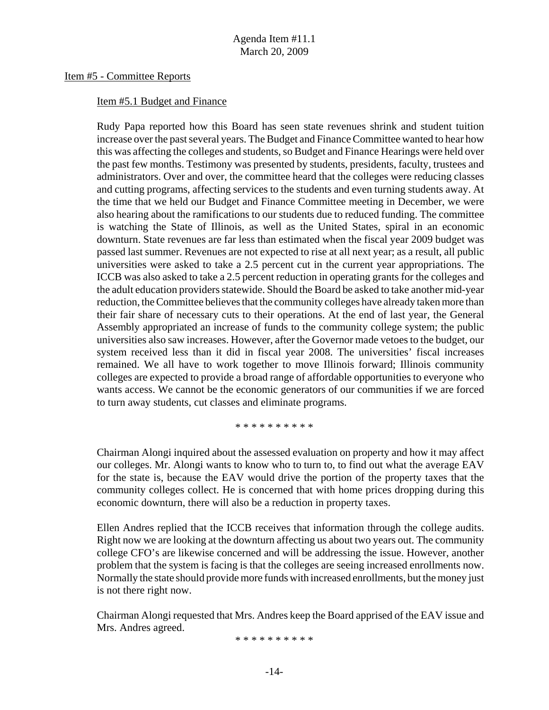#### Item #5 - Committee Reports

#### Item #5.1 Budget and Finance

Rudy Papa reported how this Board has seen state revenues shrink and student tuition increase over the past several years. The Budget and Finance Committee wanted to hear how this was affecting the colleges and students, so Budget and Finance Hearings were held over the past few months. Testimony was presented by students, presidents, faculty, trustees and administrators. Over and over, the committee heard that the colleges were reducing classes and cutting programs, affecting services to the students and even turning students away. At the time that we held our Budget and Finance Committee meeting in December, we were also hearing about the ramifications to our students due to reduced funding. The committee is watching the State of Illinois, as well as the United States, spiral in an economic downturn. State revenues are far less than estimated when the fiscal year 2009 budget was passed last summer. Revenues are not expected to rise at all next year; as a result, all public universities were asked to take a 2.5 percent cut in the current year appropriations. The ICCB was also asked to take a 2.5 percent reduction in operating grants for the colleges and the adult education providers statewide. Should the Board be asked to take another mid-year reduction, the Committee believes that the community colleges have already taken more than their fair share of necessary cuts to their operations. At the end of last year, the General Assembly appropriated an increase of funds to the community college system; the public universities also saw increases. However, after the Governor made vetoes to the budget, our system received less than it did in fiscal year 2008. The universities' fiscal increases remained. We all have to work together to move Illinois forward; Illinois community colleges are expected to provide a broad range of affordable opportunities to everyone who wants access. We cannot be the economic generators of our communities if we are forced to turn away students, cut classes and eliminate programs.

\* \* \* \* \* \* \* \* \* \*

Chairman Alongi inquired about the assessed evaluation on property and how it may affect our colleges. Mr. Alongi wants to know who to turn to, to find out what the average EAV for the state is, because the EAV would drive the portion of the property taxes that the community colleges collect. He is concerned that with home prices dropping during this economic downturn, there will also be a reduction in property taxes.

Ellen Andres replied that the ICCB receives that information through the college audits. Right now we are looking at the downturn affecting us about two years out. The community college CFO's are likewise concerned and will be addressing the issue. However, another problem that the system is facing is that the colleges are seeing increased enrollments now. Normally the state should provide more funds with increased enrollments, but the money just is not there right now.

Chairman Alongi requested that Mrs. Andres keep the Board apprised of the EAV issue and Mrs. Andres agreed.

\* \* \* \* \* \* \* \* \* \*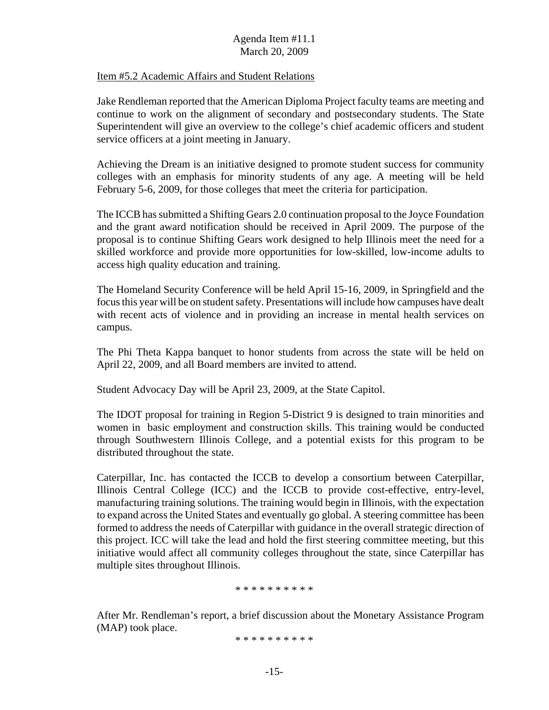#### Item #5.2 Academic Affairs and Student Relations

Jake Rendleman reported that the American Diploma Project faculty teams are meeting and continue to work on the alignment of secondary and postsecondary students. The State Superintendent will give an overview to the college's chief academic officers and student service officers at a joint meeting in January.

Achieving the Dream is an initiative designed to promote student success for community colleges with an emphasis for minority students of any age. A meeting will be held February 5-6, 2009, for those colleges that meet the criteria for participation.

The ICCB has submitted a Shifting Gears 2.0 continuation proposal to the Joyce Foundation and the grant award notification should be received in April 2009. The purpose of the proposal is to continue Shifting Gears work designed to help Illinois meet the need for a skilled workforce and provide more opportunities for low-skilled, low-income adults to access high quality education and training.

The Homeland Security Conference will be held April 15-16, 2009, in Springfield and the focus this year will be on student safety. Presentations will include how campuses have dealt with recent acts of violence and in providing an increase in mental health services on campus.

The Phi Theta Kappa banquet to honor students from across the state will be held on April 22, 2009, and all Board members are invited to attend.

Student Advocacy Day will be April 23, 2009, at the State Capitol.

The IDOT proposal for training in Region 5-District 9 is designed to train minorities and women in basic employment and construction skills. This training would be conducted through Southwestern Illinois College, and a potential exists for this program to be distributed throughout the state.

Caterpillar, Inc. has contacted the ICCB to develop a consortium between Caterpillar, Illinois Central College (ICC) and the ICCB to provide cost-effective, entry-level, manufacturing training solutions. The training would begin in Illinois, with the expectation to expand across the United States and eventually go global. A steering committee has been formed to address the needs of Caterpillar with guidance in the overall strategic direction of this project. ICC will take the lead and hold the first steering committee meeting, but this initiative would affect all community colleges throughout the state, since Caterpillar has multiple sites throughout Illinois.

\* \* \* \* \* \* \* \* \* \*

After Mr. Rendleman's report, a brief discussion about the Monetary Assistance Program (MAP) took place.

\* \* \* \* \* \* \* \* \* \*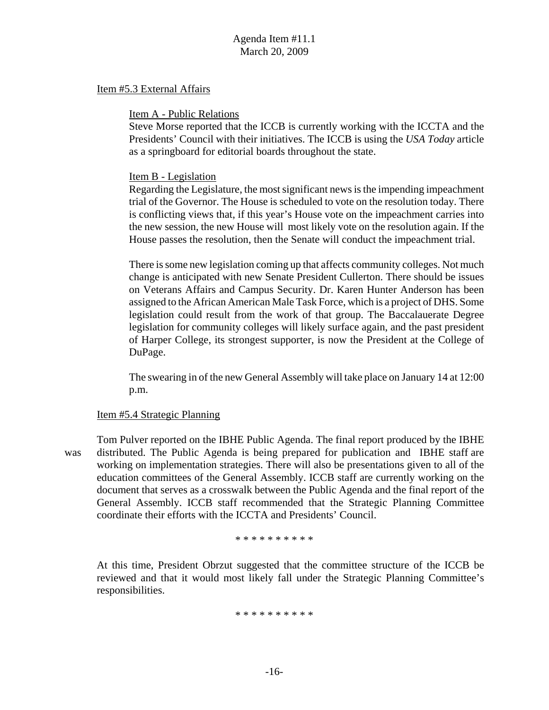#### Item #5.3 External Affairs

#### Item A - Public Relations

Steve Morse reported that the ICCB is currently working with the ICCTA and the Presidents' Council with their initiatives. The ICCB is using the *USA Today* article as a springboard for editorial boards throughout the state.

#### Item B - Legislation

Regarding the Legislature, the most significant news is the impending impeachment trial of the Governor. The House is scheduled to vote on the resolution today. There is conflicting views that, if this year's House vote on the impeachment carries into the new session, the new House will most likely vote on the resolution again. If the House passes the resolution, then the Senate will conduct the impeachment trial.

There is some new legislation coming up that affects community colleges. Not much change is anticipated with new Senate President Cullerton. There should be issues on Veterans Affairs and Campus Security. Dr. Karen Hunter Anderson has been assigned to the African American Male Task Force, which is a project of DHS. Some legislation could result from the work of that group. The Baccalauerate Degree legislation for community colleges will likely surface again, and the past president of Harper College, its strongest supporter, is now the President at the College of DuPage.

The swearing in of the new General Assembly will take place on January 14 at 12:00 p.m.

#### Item #5.4 Strategic Planning

Tom Pulver reported on the IBHE Public Agenda. The final report produced by the IBHE was distributed. The Public Agenda is being prepared for publication and IBHE staff are working on implementation strategies. There will also be presentations given to all of the education committees of the General Assembly. ICCB staff are currently working on the document that serves as a crosswalk between the Public Agenda and the final report of the General Assembly. ICCB staff recommended that the Strategic Planning Committee coordinate their efforts with the ICCTA and Presidents' Council.

\* \* \* \* \* \* \* \* \* \*

At this time, President Obrzut suggested that the committee structure of the ICCB be reviewed and that it would most likely fall under the Strategic Planning Committee's responsibilities.

\* \* \* \* \* \* \* \* \* \*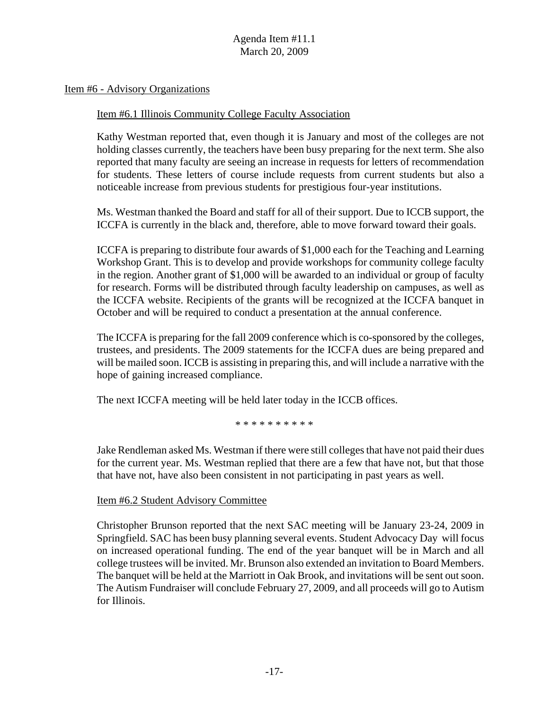Item #6 - Advisory Organizations

#### Item #6.1 Illinois Community College Faculty Association

Kathy Westman reported that, even though it is January and most of the colleges are not holding classes currently, the teachers have been busy preparing for the next term. She also reported that many faculty are seeing an increase in requests for letters of recommendation for students. These letters of course include requests from current students but also a noticeable increase from previous students for prestigious four-year institutions.

Ms. Westman thanked the Board and staff for all of their support. Due to ICCB support, the ICCFA is currently in the black and, therefore, able to move forward toward their goals.

ICCFA is preparing to distribute four awards of \$1,000 each for the Teaching and Learning Workshop Grant. This is to develop and provide workshops for community college faculty in the region. Another grant of \$1,000 will be awarded to an individual or group of faculty for research. Forms will be distributed through faculty leadership on campuses, as well as the ICCFA website. Recipients of the grants will be recognized at the ICCFA banquet in October and will be required to conduct a presentation at the annual conference.

The ICCFA is preparing for the fall 2009 conference which is co-sponsored by the colleges, trustees, and presidents. The 2009 statements for the ICCFA dues are being prepared and will be mailed soon. ICCB is assisting in preparing this, and will include a narrative with the hope of gaining increased compliance.

The next ICCFA meeting will be held later today in the ICCB offices.

\* \* \* \* \* \* \* \* \* \*

Jake Rendleman asked Ms. Westman if there were still colleges that have not paid their dues for the current year. Ms. Westman replied that there are a few that have not, but that those that have not, have also been consistent in not participating in past years as well.

Item #6.2 Student Advisory Committee

Christopher Brunson reported that the next SAC meeting will be January 23-24, 2009 in Springfield. SAC has been busy planning several events. Student Advocacy Day will focus on increased operational funding. The end of the year banquet will be in March and all college trustees will be invited. Mr. Brunson also extended an invitation to Board Members. The banquet will be held at the Marriott in Oak Brook, and invitations will be sent out soon. The Autism Fundraiser will conclude February 27, 2009, and all proceeds will go to Autism for Illinois.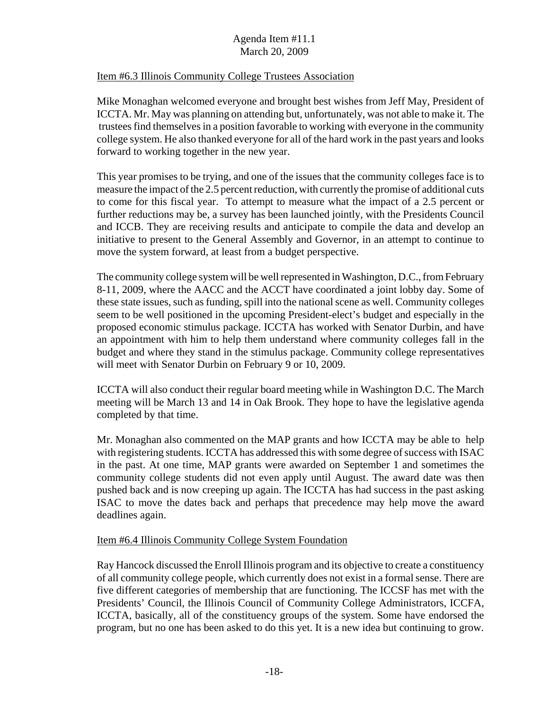#### Item #6.3 Illinois Community College Trustees Association

Mike Monaghan welcomed everyone and brought best wishes from Jeff May, President of ICCTA. Mr. May was planning on attending but, unfortunately, was not able to make it. The trustees find themselves in a position favorable to working with everyone in the community college system. He also thanked everyone for all of the hard work in the past years and looks forward to working together in the new year.

This year promises to be trying, and one of the issues that the community colleges face is to measure the impact of the 2.5 percent reduction, with currently the promise of additional cuts to come for this fiscal year. To attempt to measure what the impact of a 2.5 percent or further reductions may be, a survey has been launched jointly, with the Presidents Council and ICCB. They are receiving results and anticipate to compile the data and develop an initiative to present to the General Assembly and Governor, in an attempt to continue to move the system forward, at least from a budget perspective.

The community college system will be well represented in Washington, D.C., from February 8-11, 2009, where the AACC and the ACCT have coordinated a joint lobby day. Some of these state issues, such as funding, spill into the national scene as well. Community colleges seem to be well positioned in the upcoming President-elect's budget and especially in the proposed economic stimulus package. ICCTA has worked with Senator Durbin, and have an appointment with him to help them understand where community colleges fall in the budget and where they stand in the stimulus package. Community college representatives will meet with Senator Durbin on February 9 or 10, 2009.

ICCTA will also conduct their regular board meeting while in Washington D.C. The March meeting will be March 13 and 14 in Oak Brook. They hope to have the legislative agenda completed by that time.

Mr. Monaghan also commented on the MAP grants and how ICCTA may be able to help with registering students. ICCTA has addressed this with some degree of success with ISAC in the past. At one time, MAP grants were awarded on September 1 and sometimes the community college students did not even apply until August. The award date was then pushed back and is now creeping up again. The ICCTA has had success in the past asking ISAC to move the dates back and perhaps that precedence may help move the award deadlines again.

#### Item #6.4 Illinois Community College System Foundation

Ray Hancock discussed the Enroll Illinois program and its objective to create a constituency of all community college people, which currently does not exist in a formal sense. There are five different categories of membership that are functioning. The ICCSF has met with the Presidents' Council, the Illinois Council of Community College Administrators, ICCFA, ICCTA, basically, all of the constituency groups of the system. Some have endorsed the program, but no one has been asked to do this yet. It is a new idea but continuing to grow.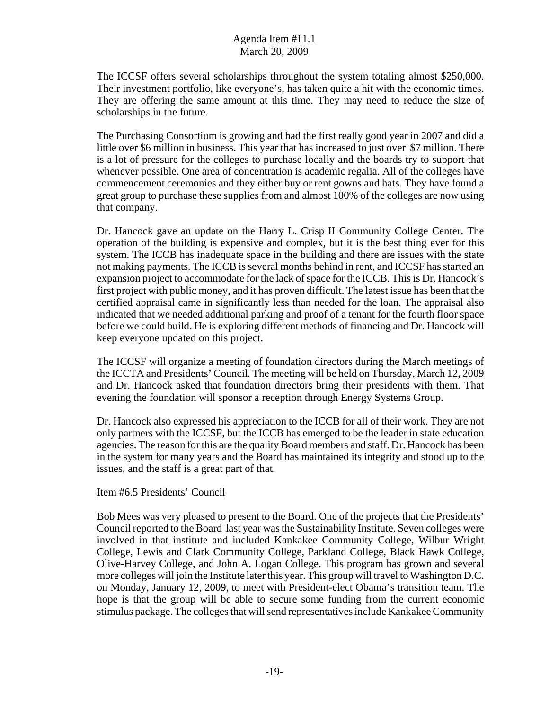The ICCSF offers several scholarships throughout the system totaling almost \$250,000. Their investment portfolio, like everyone's, has taken quite a hit with the economic times. They are offering the same amount at this time. They may need to reduce the size of scholarships in the future.

The Purchasing Consortium is growing and had the first really good year in 2007 and did a little over \$6 million in business. This year that has increased to just over \$7 million. There is a lot of pressure for the colleges to purchase locally and the boards try to support that whenever possible. One area of concentration is academic regalia. All of the colleges have commencement ceremonies and they either buy or rent gowns and hats. They have found a great group to purchase these supplies from and almost 100% of the colleges are now using that company.

Dr. Hancock gave an update on the Harry L. Crisp II Community College Center. The operation of the building is expensive and complex, but it is the best thing ever for this system. The ICCB has inadequate space in the building and there are issues with the state not making payments. The ICCB is several months behind in rent, and ICCSF has started an expansion project to accommodate for the lack of space for the ICCB. This is Dr. Hancock's first project with public money, and it has proven difficult. The latest issue has been that the certified appraisal came in significantly less than needed for the loan. The appraisal also indicated that we needed additional parking and proof of a tenant for the fourth floor space before we could build. He is exploring different methods of financing and Dr. Hancock will keep everyone updated on this project.

The ICCSF will organize a meeting of foundation directors during the March meetings of the ICCTA and Presidents' Council. The meeting will be held on Thursday, March 12, 2009 and Dr. Hancock asked that foundation directors bring their presidents with them. That evening the foundation will sponsor a reception through Energy Systems Group.

Dr. Hancock also expressed his appreciation to the ICCB for all of their work. They are not only partners with the ICCSF, but the ICCB has emerged to be the leader in state education agencies. The reason for this are the quality Board members and staff. Dr. Hancock has been in the system for many years and the Board has maintained its integrity and stood up to the issues, and the staff is a great part of that.

#### Item #6.5 Presidents' Council

Bob Mees was very pleased to present to the Board. One of the projects that the Presidents' Council reported to the Board last year was the Sustainability Institute. Seven colleges were involved in that institute and included Kankakee Community College, Wilbur Wright College, Lewis and Clark Community College, Parkland College, Black Hawk College, Olive-Harvey College, and John A. Logan College. This program has grown and several more colleges will join the Institute later this year. This group will travel to Washington D.C. on Monday, January 12, 2009, to meet with President-elect Obama's transition team. The hope is that the group will be able to secure some funding from the current economic stimulus package. The colleges that will send representatives include Kankakee Community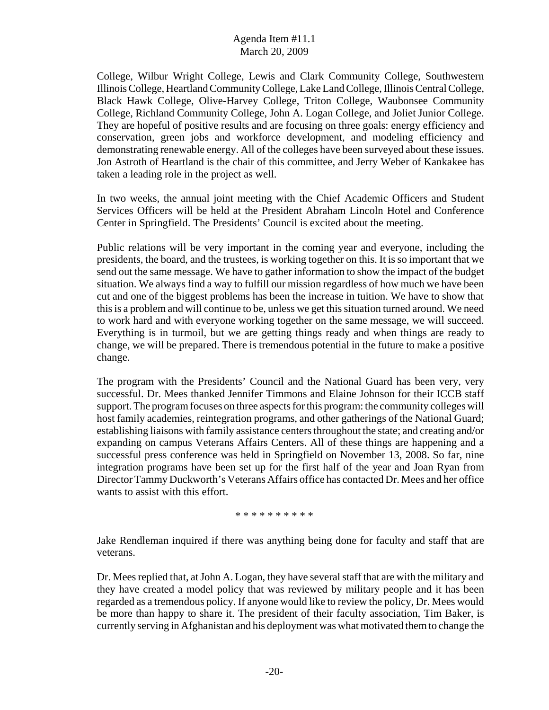College, Wilbur Wright College, Lewis and Clark Community College, Southwestern Illinois College, Heartland Community College, Lake Land College, Illinois Central College, Black Hawk College, Olive-Harvey College, Triton College, Waubonsee Community College, Richland Community College, John A. Logan College, and Joliet Junior College. They are hopeful of positive results and are focusing on three goals: energy efficiency and conservation, green jobs and workforce development, and modeling efficiency and demonstrating renewable energy. All of the colleges have been surveyed about these issues. Jon Astroth of Heartland is the chair of this committee, and Jerry Weber of Kankakee has taken a leading role in the project as well.

In two weeks, the annual joint meeting with the Chief Academic Officers and Student Services Officers will be held at the President Abraham Lincoln Hotel and Conference Center in Springfield. The Presidents' Council is excited about the meeting.

Public relations will be very important in the coming year and everyone, including the presidents, the board, and the trustees, is working together on this. It is so important that we send out the same message. We have to gather information to show the impact of the budget situation. We always find a way to fulfill our mission regardless of how much we have been cut and one of the biggest problems has been the increase in tuition. We have to show that this is a problem and will continue to be, unless we get this situation turned around. We need to work hard and with everyone working together on the same message, we will succeed. Everything is in turmoil, but we are getting things ready and when things are ready to change, we will be prepared. There is tremendous potential in the future to make a positive change.

The program with the Presidents' Council and the National Guard has been very, very successful. Dr. Mees thanked Jennifer Timmons and Elaine Johnson for their ICCB staff support. The program focuses on three aspects for this program: the community colleges will host family academies, reintegration programs, and other gatherings of the National Guard; establishing liaisons with family assistance centers throughout the state; and creating and/or expanding on campus Veterans Affairs Centers. All of these things are happening and a successful press conference was held in Springfield on November 13, 2008. So far, nine integration programs have been set up for the first half of the year and Joan Ryan from Director Tammy Duckworth's Veterans Affairs office has contacted Dr. Mees and her office wants to assist with this effort.

\* \* \* \* \* \* \* \* \* \*

Jake Rendleman inquired if there was anything being done for faculty and staff that are veterans.

Dr. Mees replied that, at John A. Logan, they have several staff that are with the military and they have created a model policy that was reviewed by military people and it has been regarded as a tremendous policy. If anyone would like to review the policy, Dr. Mees would be more than happy to share it. The president of their faculty association, Tim Baker, is currently serving in Afghanistan and his deployment was what motivated them to change the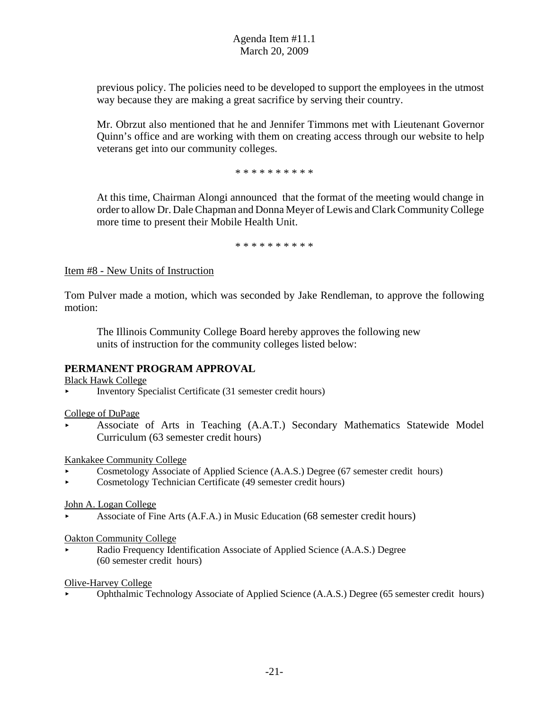previous policy. The policies need to be developed to support the employees in the utmost way because they are making a great sacrifice by serving their country.

Mr. Obrzut also mentioned that he and Jennifer Timmons met with Lieutenant Governor Quinn's office and are working with them on creating access through our website to help veterans get into our community colleges.

\* \* \* \* \* \* \* \* \* \*

At this time, Chairman Alongi announced that the format of the meeting would change in order to allow Dr. Dale Chapman and Donna Meyer of Lewis and Clark Community College more time to present their Mobile Health Unit.

\* \* \* \* \* \* \* \* \* \*

#### Item #8 - New Units of Instruction

Tom Pulver made a motion, which was seconded by Jake Rendleman, to approve the following motion:

The Illinois Community College Board hereby approves the following new units of instruction for the community colleges listed below:

#### **PERMANENT PROGRAM APPROVAL**

Black Hawk College

< Inventory Specialist Certificate (31 semester credit hours)

College of DuPage

< Associate of Arts in Teaching (A.A.T.) Secondary Mathematics Statewide Model Curriculum (63 semester credit hours)

Kankakee Community College

- < Cosmetology Associate of Applied Science (A.A.S.) Degree (67 semester credit hours)
- < Cosmetology Technician Certificate (49 semester credit hours)

#### John A. Logan College

< Associate of Fine Arts (A.F.A.) in Music Education (68 semester credit hours)

Oakton Community College

Radio Frequency Identification Associate of Applied Science (A.A.S.) Degree (60 semester credit hours)

Olive-Harvey College

< Ophthalmic Technology Associate of Applied Science (A.A.S.) Degree (65 semester credit hours)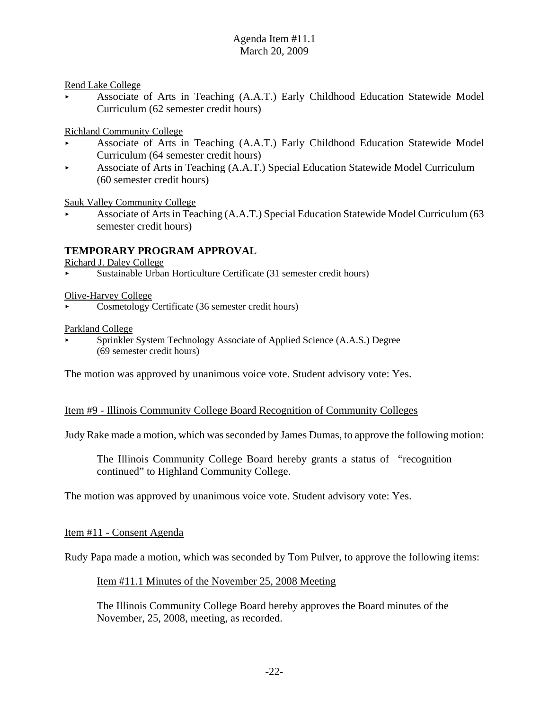Rend Lake College

< Associate of Arts in Teaching (A.A.T.) Early Childhood Education Statewide Model Curriculum (62 semester credit hours)

Richland Community College

- < Associate of Arts in Teaching (A.A.T.) Early Childhood Education Statewide Model Curriculum (64 semester credit hours)
- < Associate of Arts in Teaching (A.A.T.) Special Education Statewide Model Curriculum (60 semester credit hours)

Sauk Valley Community College

< Associate of Arts in Teaching (A.A.T.) Special Education Statewide Model Curriculum (63 semester credit hours)

#### **TEMPORARY PROGRAM APPROVAL**

Richard J. Daley College

< Sustainable Urban Horticulture Certificate (31 semester credit hours)

#### Olive-Harvey College

< Cosmetology Certificate (36 semester credit hours)

#### Parkland College

Sprinkler System Technology Associate of Applied Science (A.A.S.) Degree (69 semester credit hours)

The motion was approved by unanimous voice vote. Student advisory vote: Yes.

#### Item #9 - Illinois Community College Board Recognition of Community Colleges

Judy Rake made a motion, which was seconded by James Dumas, to approve the following motion:

The Illinois Community College Board hereby grants a status of "recognition continued" to Highland Community College.

The motion was approved by unanimous voice vote. Student advisory vote: Yes.

#### Item #11 - Consent Agenda

Rudy Papa made a motion, which was seconded by Tom Pulver, to approve the following items:

#### Item #11.1 Minutes of the November 25, 2008 Meeting

The Illinois Community College Board hereby approves the Board minutes of the November, 25, 2008, meeting, as recorded.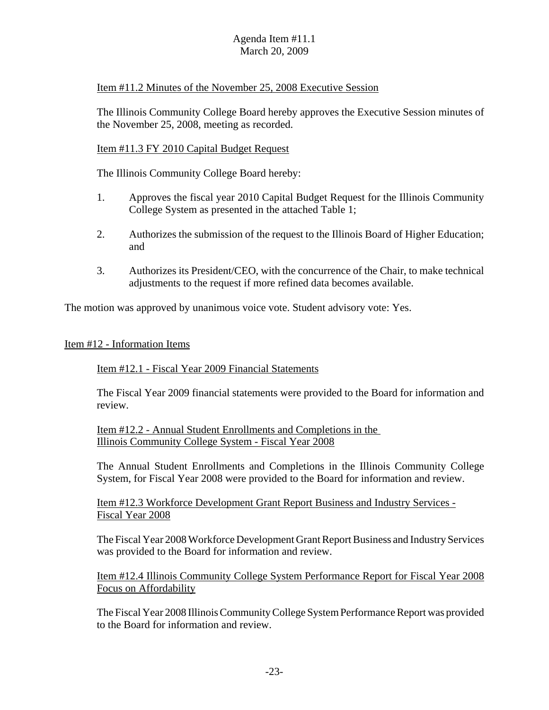Item #11.2 Minutes of the November 25, 2008 Executive Session

The Illinois Community College Board hereby approves the Executive Session minutes of the November 25, 2008, meeting as recorded.

#### Item #11.3 FY 2010 Capital Budget Request

The Illinois Community College Board hereby:

- 1. Approves the fiscal year 2010 Capital Budget Request for the Illinois Community College System as presented in the attached Table 1;
- 2. Authorizes the submission of the request to the Illinois Board of Higher Education; and
- 3. Authorizes its President/CEO, with the concurrence of the Chair, to make technical adjustments to the request if more refined data becomes available.

The motion was approved by unanimous voice vote. Student advisory vote: Yes.

#### Item #12 - Information Items

Item #12.1 - Fiscal Year 2009 Financial Statements

The Fiscal Year 2009 financial statements were provided to the Board for information and review.

Item #12.2 - Annual Student Enrollments and Completions in the Illinois Community College System - Fiscal Year 2008

The Annual Student Enrollments and Completions in the Illinois Community College System, for Fiscal Year 2008 were provided to the Board for information and review.

Item #12.3 Workforce Development Grant Report Business and Industry Services - Fiscal Year 2008

The Fiscal Year 2008 Workforce Development Grant Report Business and Industry Services was provided to the Board for information and review.

Item #12.4 Illinois Community College System Performance Report for Fiscal Year 2008 Focus on Affordability

The Fiscal Year 2008 Illinois Community College System Performance Report was provided to the Board for information and review.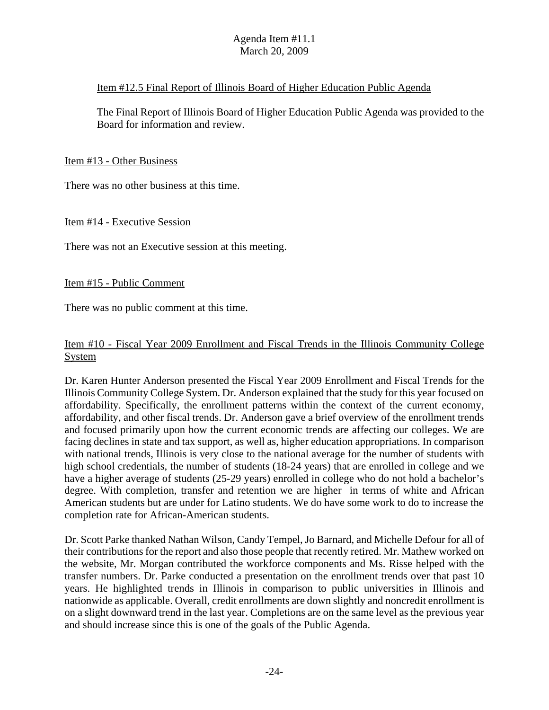#### Item #12.5 Final Report of Illinois Board of Higher Education Public Agenda

The Final Report of Illinois Board of Higher Education Public Agenda was provided to the Board for information and review.

Item #13 - Other Business

There was no other business at this time.

Item #14 - Executive Session

There was not an Executive session at this meeting.

#### Item #15 - Public Comment

There was no public comment at this time.

# Item #10 - Fiscal Year 2009 Enrollment and Fiscal Trends in the Illinois Community College System

Dr. Karen Hunter Anderson presented the Fiscal Year 2009 Enrollment and Fiscal Trends for the Illinois Community College System. Dr. Anderson explained that the study for this year focused on affordability. Specifically, the enrollment patterns within the context of the current economy, affordability, and other fiscal trends. Dr. Anderson gave a brief overview of the enrollment trends and focused primarily upon how the current economic trends are affecting our colleges. We are facing declines in state and tax support, as well as, higher education appropriations. In comparison with national trends, Illinois is very close to the national average for the number of students with high school credentials, the number of students (18-24 years) that are enrolled in college and we have a higher average of students (25-29 years) enrolled in college who do not hold a bachelor's degree. With completion, transfer and retention we are higher in terms of white and African American students but are under for Latino students. We do have some work to do to increase the completion rate for African-American students.

Dr. Scott Parke thanked Nathan Wilson, Candy Tempel, Jo Barnard, and Michelle Defour for all of their contributions for the report and also those people that recently retired. Mr. Mathew worked on the website, Mr. Morgan contributed the workforce components and Ms. Risse helped with the transfer numbers. Dr. Parke conducted a presentation on the enrollment trends over that past 10 years. He highlighted trends in Illinois in comparison to public universities in Illinois and nationwide as applicable. Overall, credit enrollments are down slightly and noncredit enrollment is on a slight downward trend in the last year. Completions are on the same level as the previous year and should increase since this is one of the goals of the Public Agenda.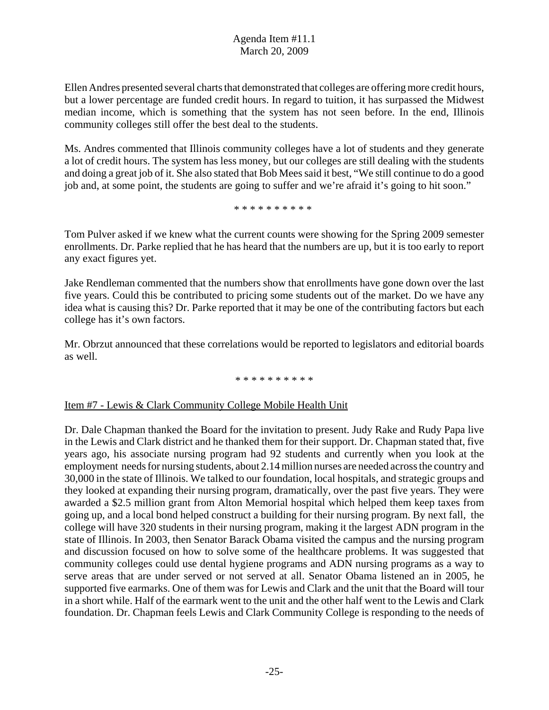Ellen Andres presented several charts that demonstrated that colleges are offering more credit hours, but a lower percentage are funded credit hours. In regard to tuition, it has surpassed the Midwest median income, which is something that the system has not seen before. In the end, Illinois community colleges still offer the best deal to the students.

Ms. Andres commented that Illinois community colleges have a lot of students and they generate a lot of credit hours. The system has less money, but our colleges are still dealing with the students and doing a great job of it. She also stated that Bob Mees said it best, "We still continue to do a good job and, at some point, the students are going to suffer and we're afraid it's going to hit soon."

\* \* \* \* \* \* \* \* \* \*

Tom Pulver asked if we knew what the current counts were showing for the Spring 2009 semester enrollments. Dr. Parke replied that he has heard that the numbers are up, but it is too early to report any exact figures yet.

Jake Rendleman commented that the numbers show that enrollments have gone down over the last five years. Could this be contributed to pricing some students out of the market. Do we have any idea what is causing this? Dr. Parke reported that it may be one of the contributing factors but each college has it's own factors.

Mr. Obrzut announced that these correlations would be reported to legislators and editorial boards as well.

#### \* \* \* \* \* \* \* \* \* \*

#### Item #7 - Lewis & Clark Community College Mobile Health Unit

Dr. Dale Chapman thanked the Board for the invitation to present. Judy Rake and Rudy Papa live in the Lewis and Clark district and he thanked them for their support. Dr. Chapman stated that, five years ago, his associate nursing program had 92 students and currently when you look at the employment needs for nursing students, about 2.14 million nurses are needed across the country and 30,000 in the state of Illinois. We talked to our foundation, local hospitals, and strategic groups and they looked at expanding their nursing program, dramatically, over the past five years. They were awarded a \$2.5 million grant from Alton Memorial hospital which helped them keep taxes from going up, and a local bond helped construct a building for their nursing program. By next fall, the college will have 320 students in their nursing program, making it the largest ADN program in the state of Illinois. In 2003, then Senator Barack Obama visited the campus and the nursing program and discussion focused on how to solve some of the healthcare problems. It was suggested that community colleges could use dental hygiene programs and ADN nursing programs as a way to serve areas that are under served or not served at all. Senator Obama listened an in 2005, he supported five earmarks. One of them was for Lewis and Clark and the unit that the Board will tour in a short while. Half of the earmark went to the unit and the other half went to the Lewis and Clark foundation. Dr. Chapman feels Lewis and Clark Community College is responding to the needs of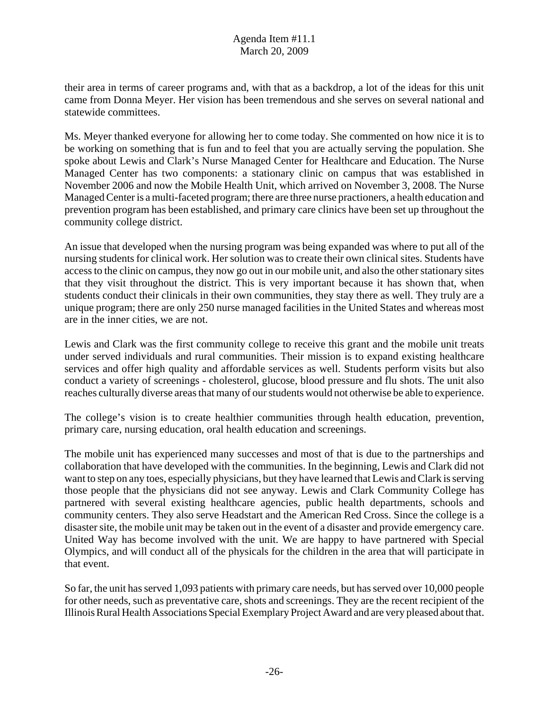their area in terms of career programs and, with that as a backdrop, a lot of the ideas for this unit came from Donna Meyer. Her vision has been tremendous and she serves on several national and statewide committees.

Ms. Meyer thanked everyone for allowing her to come today. She commented on how nice it is to be working on something that is fun and to feel that you are actually serving the population. She spoke about Lewis and Clark's Nurse Managed Center for Healthcare and Education. The Nurse Managed Center has two components: a stationary clinic on campus that was established in November 2006 and now the Mobile Health Unit, which arrived on November 3, 2008. The Nurse Managed Center is a multi-faceted program; there are three nurse practioners, a health education and prevention program has been established, and primary care clinics have been set up throughout the community college district.

An issue that developed when the nursing program was being expanded was where to put all of the nursing students for clinical work. Her solution was to create their own clinical sites. Students have access to the clinic on campus, they now go out in our mobile unit, and also the other stationary sites that they visit throughout the district. This is very important because it has shown that, when students conduct their clinicals in their own communities, they stay there as well. They truly are a unique program; there are only 250 nurse managed facilities in the United States and whereas most are in the inner cities, we are not.

Lewis and Clark was the first community college to receive this grant and the mobile unit treats under served individuals and rural communities. Their mission is to expand existing healthcare services and offer high quality and affordable services as well. Students perform visits but also conduct a variety of screenings - cholesterol, glucose, blood pressure and flu shots. The unit also reaches culturally diverse areas that many of our students would not otherwise be able to experience.

The college's vision is to create healthier communities through health education, prevention, primary care, nursing education, oral health education and screenings.

The mobile unit has experienced many successes and most of that is due to the partnerships and collaboration that have developed with the communities. In the beginning, Lewis and Clark did not want to step on any toes, especially physicians, but they have learned that Lewis and Clark is serving those people that the physicians did not see anyway. Lewis and Clark Community College has partnered with several existing healthcare agencies, public health departments, schools and community centers. They also serve Headstart and the American Red Cross. Since the college is a disaster site, the mobile unit may be taken out in the event of a disaster and provide emergency care. United Way has become involved with the unit. We are happy to have partnered with Special Olympics, and will conduct all of the physicals for the children in the area that will participate in that event.

So far, the unit has served 1,093 patients with primary care needs, but has served over 10,000 people for other needs, such as preventative care, shots and screenings. They are the recent recipient of the Illinois Rural Health Associations Special Exemplary Project Award and are very pleased about that.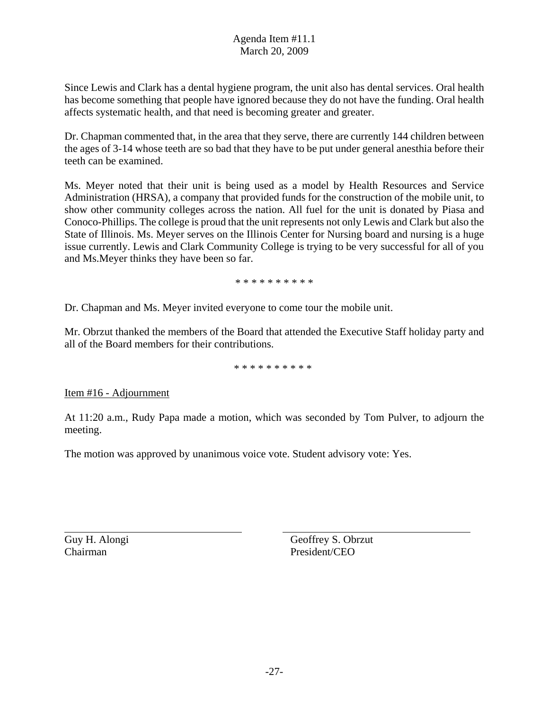Since Lewis and Clark has a dental hygiene program, the unit also has dental services. Oral health has become something that people have ignored because they do not have the funding. Oral health affects systematic health, and that need is becoming greater and greater.

Dr. Chapman commented that, in the area that they serve, there are currently 144 children between the ages of 3-14 whose teeth are so bad that they have to be put under general anesthia before their teeth can be examined.

Ms. Meyer noted that their unit is being used as a model by Health Resources and Service Administration (HRSA), a company that provided funds for the construction of the mobile unit, to show other community colleges across the nation. All fuel for the unit is donated by Piasa and Conoco-Phillips. The college is proud that the unit represents not only Lewis and Clark but also the State of Illinois. Ms. Meyer serves on the Illinois Center for Nursing board and nursing is a huge issue currently. Lewis and Clark Community College is trying to be very successful for all of you and Ms.Meyer thinks they have been so far.

\* \* \* \* \* \* \* \* \* \*

Dr. Chapman and Ms. Meyer invited everyone to come tour the mobile unit.

Mr. Obrzut thanked the members of the Board that attended the Executive Staff holiday party and all of the Board members for their contributions.

\* \* \* \* \* \* \* \* \* \*

Item #16 - Adjournment

At 11:20 a.m., Rudy Papa made a motion, which was seconded by Tom Pulver, to adjourn the meeting.

The motion was approved by unanimous voice vote. Student advisory vote: Yes.

Chairman President/CEO

Guy H. Alongi Geoffrey S. Obrzut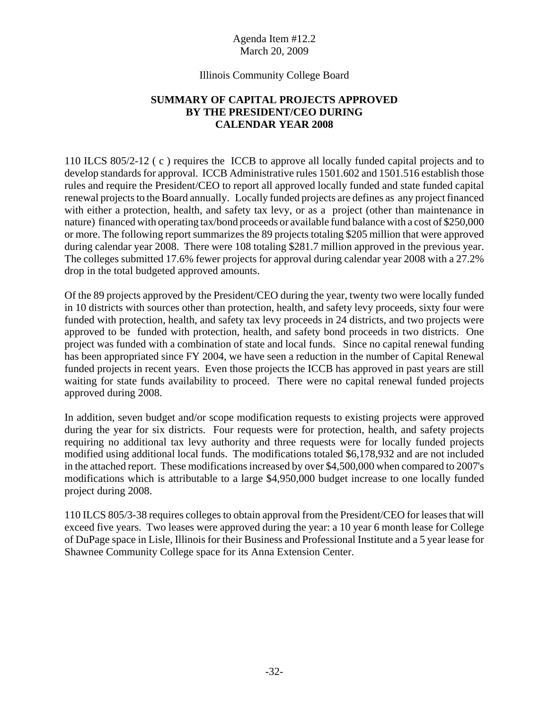#### Illinois Community College Board

## **SUMMARY OF CAPITAL PROJECTS APPROVED BY THE PRESIDENT/CEO DURING CALENDAR YEAR 2008**

110 ILCS 805/2-12 ( c ) requires the ICCB to approve all locally funded capital projects and to develop standards for approval. ICCB Administrative rules 1501.602 and 1501.516 establish those rules and require the President/CEO to report all approved locally funded and state funded capital renewal projects to the Board annually. Locally funded projects are defines as any project financed with either a protection, health, and safety tax levy, or as a project (other than maintenance in nature) financed with operating tax/bond proceeds or available fund balance with a cost of \$250,000 or more. The following report summarizes the 89 projects totaling \$205 million that were approved during calendar year 2008. There were 108 totaling \$281.7 million approved in the previous year. The colleges submitted 17.6% fewer projects for approval during calendar year 2008 with a 27.2% drop in the total budgeted approved amounts.

Of the 89 projects approved by the President/CEO during the year, twenty two were locally funded in 10 districts with sources other than protection, health, and safety levy proceeds, sixty four were funded with protection, health, and safety tax levy proceeds in 24 districts, and two projects were approved to be funded with protection, health, and safety bond proceeds in two districts. One project was funded with a combination of state and local funds. Since no capital renewal funding has been appropriated since FY 2004, we have seen a reduction in the number of Capital Renewal funded projects in recent years. Even those projects the ICCB has approved in past years are still waiting for state funds availability to proceed. There were no capital renewal funded projects approved during 2008.

In addition, seven budget and/or scope modification requests to existing projects were approved during the year for six districts. Four requests were for protection, health, and safety projects requiring no additional tax levy authority and three requests were for locally funded projects modified using additional local funds. The modifications totaled \$6,178,932 and are not included in the attached report. These modifications increased by over \$4,500,000 when compared to 2007's modifications which is attributable to a large \$4,950,000 budget increase to one locally funded project during 2008.

110 ILCS 805/3-38 requires colleges to obtain approval from the President/CEO for leases that will exceed five years. Two leases were approved during the year: a 10 year 6 month lease for College of DuPage space in Lisle, Illinois for their Business and Professional Institute and a 5 year lease for Shawnee Community College space for its Anna Extension Center.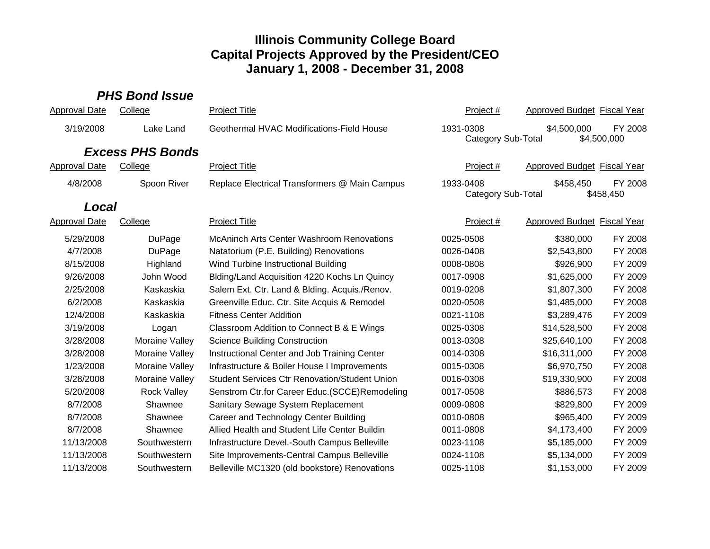# *PHS Bond Issue*

| <b>Approval Date</b> | College                 | <b>Project Title</b>                                 | Project #                              | <b>Approved Budget Fiscal Year</b> |                        |  |
|----------------------|-------------------------|------------------------------------------------------|----------------------------------------|------------------------------------|------------------------|--|
| 3/19/2008            | Lake Land               | Geothermal HVAC Modifications-Field House            | 1931-0308<br><b>Category Sub-Total</b> | \$4,500,000                        | FY 2008<br>\$4,500,000 |  |
|                      | <b>Excess PHS Bonds</b> |                                                      |                                        |                                    |                        |  |
| <b>Approval Date</b> | College                 | <b>Project Title</b>                                 | Project#                               | <b>Approved Budget Fiscal Year</b> |                        |  |
| 4/8/2008             | Spoon River             | Replace Electrical Transformers @ Main Campus        | 1933-0408                              | \$458,450                          | FY 2008                |  |
|                      |                         |                                                      | <b>Category Sub-Total</b>              |                                    | \$458,450              |  |
| Local                |                         |                                                      |                                        |                                    |                        |  |
| <b>Approval Date</b> | College                 | <b>Project Title</b>                                 | Project#                               | <b>Approved Budget Fiscal Year</b> |                        |  |
| 5/29/2008            | DuPage                  | <b>McAninch Arts Center Washroom Renovations</b>     | 0025-0508                              | \$380,000                          | FY 2008                |  |
| 4/7/2008             | DuPage                  | Natatorium (P.E. Building) Renovations               | 0026-0408                              | \$2,543,800                        | FY 2008                |  |
| 8/15/2008            | Highland                | Wind Turbine Instructional Building                  | 0008-0808                              | \$926,900                          | FY 2009                |  |
| 9/26/2008            | John Wood               | Blding/Land Acquisition 4220 Kochs Ln Quincy         | 0017-0908                              | \$1,625,000                        | FY 2009                |  |
| 2/25/2008            | Kaskaskia               | Salem Ext. Ctr. Land & Blding. Acquis./Renov.        | 0019-0208                              | \$1,807,300                        | FY 2008                |  |
| 6/2/2008             | Kaskaskia               | Greenville Educ. Ctr. Site Acquis & Remodel          | 0020-0508                              | \$1,485,000                        | FY 2008                |  |
| 12/4/2008            | Kaskaskia               | <b>Fitness Center Addition</b>                       | 0021-1108                              | \$3,289,476                        | FY 2009                |  |
| 3/19/2008            | Logan                   | Classroom Addition to Connect B & E Wings            | 0025-0308                              | \$14,528,500                       | FY 2008                |  |
| 3/28/2008            | Moraine Valley          | <b>Science Building Construction</b>                 | 0013-0308                              | \$25,640,100                       | FY 2008                |  |
| 3/28/2008            | Moraine Valley          | Instructional Center and Job Training Center         | 0014-0308                              | \$16,311,000                       | FY 2008                |  |
| 1/23/2008            | Moraine Valley          | Infrastructure & Boiler House I Improvements         | 0015-0308                              | \$6,970,750                        | FY 2008                |  |
| 3/28/2008            | Moraine Valley          | <b>Student Services Ctr Renovation/Student Union</b> | 0016-0308                              | \$19,330,900                       | FY 2008                |  |
| 5/20/2008            | <b>Rock Valley</b>      | Senstrom Ctr.for Career Educ.(SCCE)Remodeling        | 0017-0508                              | \$886,573                          | FY 2008                |  |
| 8/7/2008             | Shawnee                 | Sanitary Sewage System Replacement                   | 0009-0808                              | \$829,800                          | FY 2009                |  |
| 8/7/2008             | Shawnee                 | Career and Technology Center Building                | 0010-0808                              | \$965,400                          | FY 2009                |  |
| 8/7/2008             | Shawnee                 | Allied Health and Student Life Center Buildin        | 0011-0808                              | \$4,173,400                        | FY 2009                |  |
| 11/13/2008           | Southwestern            | Infrastructure Devel.-South Campus Belleville        | 0023-1108                              | \$5,185,000                        | FY 2009                |  |
| 11/13/2008           | Southwestern            | Site Improvements-Central Campus Belleville          | 0024-1108                              | \$5,134,000                        | FY 2009                |  |
| 11/13/2008           | Southwestern            | Belleville MC1320 (old bookstore) Renovations        | 0025-1108                              | \$1,153,000                        | FY 2009                |  |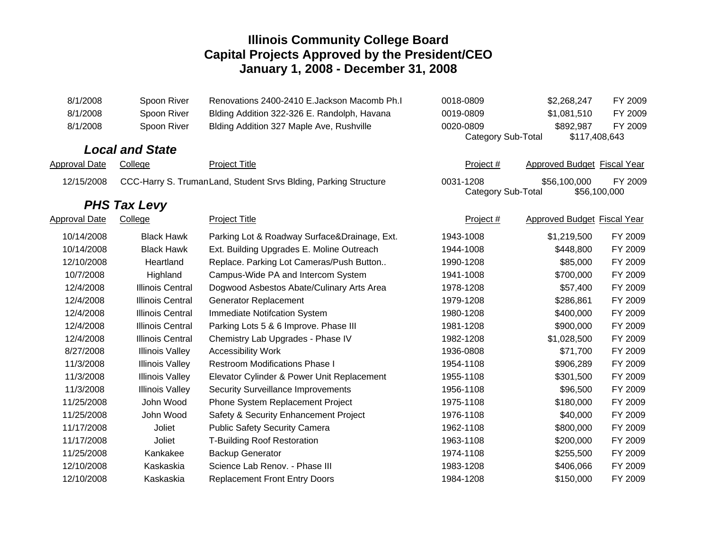| 8/1/2008             | Spoon River             | Renovations 2400-2410 E.Jackson Macomb Ph.I                      | 0018-0809                       | \$2,268,247                  | FY 2009 |
|----------------------|-------------------------|------------------------------------------------------------------|---------------------------------|------------------------------|---------|
| 8/1/2008             | Spoon River             | Blding Addition 322-326 E. Randolph, Havana                      | 0019-0809                       | \$1,081,510                  | FY 2009 |
| 8/1/2008             | Spoon River             | Blding Addition 327 Maple Ave, Rushville                         | 0020-0809                       | \$892,987                    | FY 2009 |
|                      |                         |                                                                  | Category Sub-Total              | \$117,408,643                |         |
|                      | <b>Local and State</b>  |                                                                  |                                 |                              |         |
| Approval Date        | College                 | <b>Project Title</b>                                             | Project #                       | Approved Budget Fiscal Year  |         |
| 12/15/2008           |                         | CCC-Harry S. Truman Land, Student Srvs Blding, Parking Structure | 0031-1208<br>Category Sub-Total | \$56,100,000<br>\$56,100,000 | FY 2009 |
|                      | <b>PHS Tax Levy</b>     |                                                                  |                                 |                              |         |
| <b>Approval Date</b> | College                 | <b>Project Title</b>                                             | Project #                       | Approved Budget Fiscal Year  |         |
| 10/14/2008           | <b>Black Hawk</b>       | Parking Lot & Roadway Surface&Drainage, Ext.                     | 1943-1008                       | \$1,219,500                  | FY 2009 |
| 10/14/2008           | <b>Black Hawk</b>       | Ext. Building Upgrades E. Moline Outreach                        | 1944-1008                       | \$448,800                    | FY 2009 |
| 12/10/2008           | Heartland               | Replace. Parking Lot Cameras/Push Button                         | 1990-1208                       | \$85,000                     | FY 2009 |
| 10/7/2008            | Highland                | Campus-Wide PA and Intercom System                               | 1941-1008                       | \$700,000                    | FY 2009 |
| 12/4/2008            | <b>Illinois Central</b> | Dogwood Asbestos Abate/Culinary Arts Area                        | 1978-1208                       | \$57,400                     | FY 2009 |
| 12/4/2008            | <b>Illinois Central</b> | Generator Replacement                                            | 1979-1208                       | \$286,861                    | FY 2009 |
| 12/4/2008            | <b>Illinois Central</b> | Immediate Notifcation System                                     | 1980-1208                       | \$400,000                    | FY 2009 |
| 12/4/2008            | <b>Illinois Central</b> | Parking Lots 5 & 6 Improve. Phase III                            | 1981-1208                       | \$900,000                    | FY 2009 |
| 12/4/2008            | <b>Illinois Central</b> | Chemistry Lab Upgrades - Phase IV                                | 1982-1208                       | \$1,028,500                  | FY 2009 |
| 8/27/2008            | <b>Illinois Valley</b>  | <b>Accessibility Work</b>                                        | 1936-0808                       | \$71,700                     | FY 2009 |
| 11/3/2008            | <b>Illinois Valley</b>  | <b>Restroom Modifications Phase I</b>                            | 1954-1108                       | \$906,289                    | FY 2009 |
| 11/3/2008            | <b>Illinois Valley</b>  | Elevator Cylinder & Power Unit Replacement                       | 1955-1108                       | \$301,500                    | FY 2009 |
| 11/3/2008            | <b>Illinois Valley</b>  | <b>Security Surveillance Improvements</b>                        | 1956-1108                       | \$96,500                     | FY 2009 |
| 11/25/2008           | John Wood               | Phone System Replacement Project                                 | 1975-1108                       | \$180,000                    | FY 2009 |
| 11/25/2008           | John Wood               | Safety & Security Enhancement Project                            | 1976-1108                       | \$40,000                     | FY 2009 |
| 11/17/2008           | Joliet                  | <b>Public Safety Security Camera</b>                             | 1962-1108                       | \$800,000                    | FY 2009 |
| 11/17/2008           | Joliet                  | <b>T-Building Roof Restoration</b>                               | 1963-1108                       | \$200,000                    | FY 2009 |
| 11/25/2008           | Kankakee                | <b>Backup Generator</b>                                          | 1974-1108                       | \$255,500                    | FY 2009 |
| 12/10/2008           | Kaskaskia               | Science Lab Renov. - Phase III                                   | 1983-1208                       | \$406,066                    | FY 2009 |
| 12/10/2008           | Kaskaskia               | <b>Replacement Front Entry Doors</b>                             | 1984-1208                       | \$150,000                    | FY 2009 |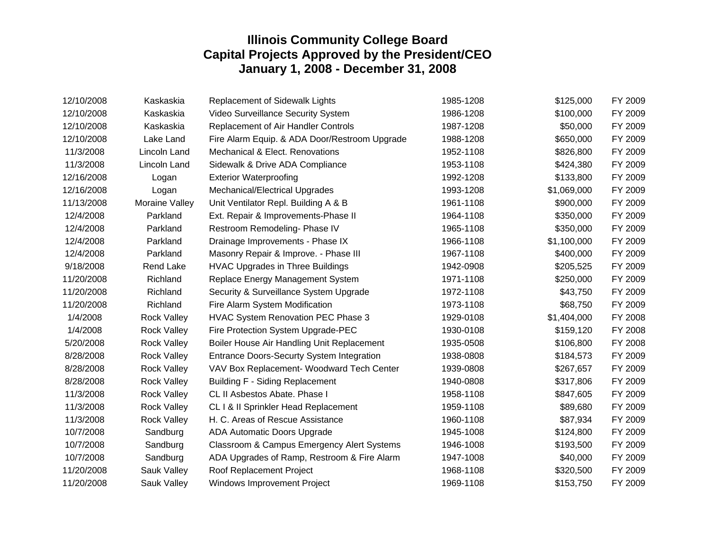| 12/10/2008 | Kaskaskia          | Replacement of Sidewalk Lights                | 1985-1208 | \$125,000   | FY 2009 |
|------------|--------------------|-----------------------------------------------|-----------|-------------|---------|
| 12/10/2008 | Kaskaskia          | Video Surveillance Security System            | 1986-1208 | \$100,000   | FY 2009 |
| 12/10/2008 | Kaskaskia          | Replacement of Air Handler Controls           | 1987-1208 | \$50,000    | FY 2009 |
| 12/10/2008 | Lake Land          | Fire Alarm Equip. & ADA Door/Restroom Upgrade | 1988-1208 | \$650,000   | FY 2009 |
| 11/3/2008  | Lincoln Land       | Mechanical & Elect. Renovations               | 1952-1108 | \$826,800   | FY 2009 |
| 11/3/2008  | Lincoln Land       | Sidewalk & Drive ADA Compliance               | 1953-1108 | \$424,380   | FY 2009 |
| 12/16/2008 | Logan              | <b>Exterior Waterproofing</b>                 | 1992-1208 | \$133,800   | FY 2009 |
| 12/16/2008 | Logan              | Mechanical/Electrical Upgrades                | 1993-1208 | \$1,069,000 | FY 2009 |
| 11/13/2008 | Moraine Valley     | Unit Ventilator Repl. Building A & B          | 1961-1108 | \$900,000   | FY 2009 |
| 12/4/2008  | Parkland           | Ext. Repair & Improvements-Phase II           | 1964-1108 | \$350,000   | FY 2009 |
| 12/4/2008  | Parkland           | Restroom Remodeling- Phase IV                 | 1965-1108 | \$350,000   | FY 2009 |
| 12/4/2008  | Parkland           | Drainage Improvements - Phase IX              | 1966-1108 | \$1,100,000 | FY 2009 |
| 12/4/2008  | Parkland           | Masonry Repair & Improve. - Phase III         | 1967-1108 | \$400,000   | FY 2009 |
| 9/18/2008  | Rend Lake          | <b>HVAC Upgrades in Three Buildings</b>       | 1942-0908 | \$205,525   | FY 2009 |
| 11/20/2008 | Richland           | Replace Energy Management System              | 1971-1108 | \$250,000   | FY 2009 |
| 11/20/2008 | Richland           | Security & Surveillance System Upgrade        | 1972-1108 | \$43,750    | FY 2009 |
| 11/20/2008 | Richland           | Fire Alarm System Modification                | 1973-1108 | \$68,750    | FY 2009 |
| 1/4/2008   | <b>Rock Valley</b> | HVAC System Renovation PEC Phase 3            | 1929-0108 | \$1,404,000 | FY 2008 |
| 1/4/2008   | <b>Rock Valley</b> | Fire Protection System Upgrade-PEC            | 1930-0108 | \$159,120   | FY 2008 |
| 5/20/2008  | <b>Rock Valley</b> | Boiler House Air Handling Unit Replacement    | 1935-0508 | \$106,800   | FY 2008 |
| 8/28/2008  | <b>Rock Valley</b> | Entrance Doors-Securty System Integration     | 1938-0808 | \$184,573   | FY 2009 |
| 8/28/2008  | <b>Rock Valley</b> | VAV Box Replacement- Woodward Tech Center     | 1939-0808 | \$267,657   | FY 2009 |
| 8/28/2008  | <b>Rock Valley</b> | <b>Building F - Siding Replacement</b>        | 1940-0808 | \$317,806   | FY 2009 |
| 11/3/2008  | <b>Rock Valley</b> | CL II Asbestos Abate. Phase I                 | 1958-1108 | \$847,605   | FY 2009 |
| 11/3/2008  | <b>Rock Valley</b> | CL I & II Sprinkler Head Replacement          | 1959-1108 | \$89,680    | FY 2009 |
| 11/3/2008  | <b>Rock Valley</b> | H. C. Areas of Rescue Assistance              | 1960-1108 | \$87,934    | FY 2009 |
| 10/7/2008  | Sandburg           | ADA Automatic Doors Upgrade                   | 1945-1008 | \$124,800   | FY 2009 |
| 10/7/2008  | Sandburg           | Classroom & Campus Emergency Alert Systems    | 1946-1008 | \$193,500   | FY 2009 |
| 10/7/2008  | Sandburg           | ADA Upgrades of Ramp, Restroom & Fire Alarm   | 1947-1008 | \$40,000    | FY 2009 |
| 11/20/2008 | Sauk Valley        | Roof Replacement Project                      | 1968-1108 | \$320,500   | FY 2009 |
| 11/20/2008 | Sauk Valley        | Windows Improvement Project                   | 1969-1108 | \$153,750   | FY 2009 |